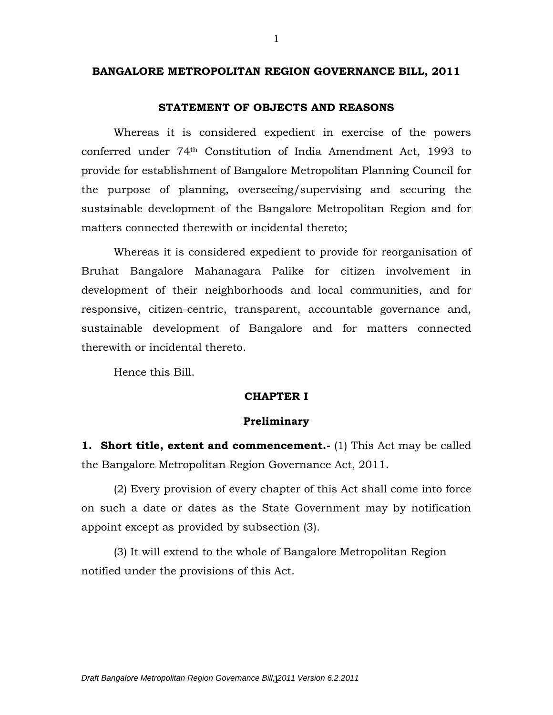#### **BANGALORE METROPOLITAN REGION GOVERNANCE BILL, 2011**

#### **STATEMENT OF OBJECTS AND REASONS**

Whereas it is considered expedient in exercise of the powers conferred under 74th Constitution of India Amendment Act, 1993 to provide for establishment of Bangalore Metropolitan Planning Council for the purpose of planning, overseeing/supervising and securing the sustainable development of the Bangalore Metropolitan Region and for matters connected therewith or incidental thereto;

Whereas it is considered expedient to provide for reorganisation of Bruhat Bangalore Mahanagara Palike for citizen involvement in development of their neighborhoods and local communities, and for responsive, citizen-centric, transparent, accountable governance and, sustainable development of Bangalore and for matters connected therewith or incidental thereto.

Hence this Bill.

# **CHAPTER I**

#### **Preliminary**

**1. Short title, extent and commencement.-** (1) This Act may be called the Bangalore Metropolitan Region Governance Act, 2011.

(2) Every provision of every chapter of this Act shall come into force on such a date or dates as the State Government may by notification appoint except as provided by subsection (3).

(3) It will extend to the whole of Bangalore Metropolitan Region notified under the provisions of this Act.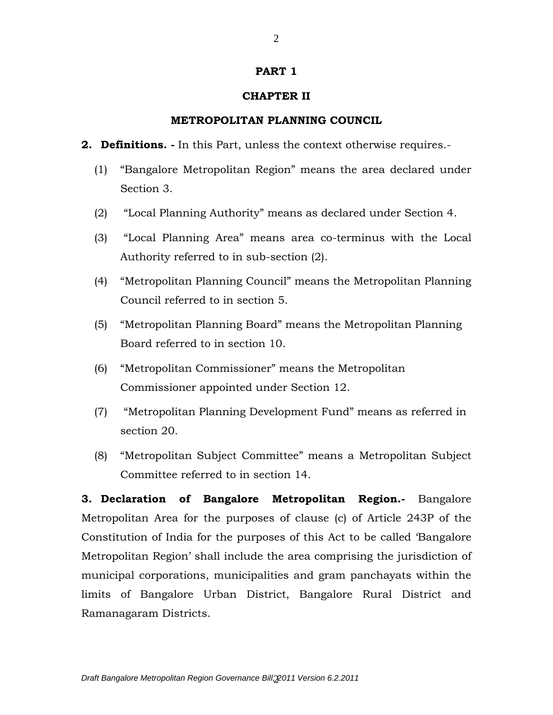## **PART 1**

# **CHAPTER II**

## **METROPOLITAN PLANNING COUNCIL**

- **2. Definitions. -** In this Part, unless the context otherwise requires.-
	- (1) "Bangalore Metropolitan Region" means the area declared under Section 3.
	- (2) "Local Planning Authority" means as declared under Section 4.
	- (3) "Local Planning Area" means area co-terminus with the Local Authority referred to in sub-section (2).
	- (4) "Metropolitan Planning Council" means the Metropolitan Planning Council referred to in section 5.
	- (5) "Metropolitan Planning Board" means the Metropolitan Planning Board referred to in section 10.
	- (6) "Metropolitan Commissioner" means the Metropolitan Commissioner appointed under Section 12.
	- (7) "Metropolitan Planning Development Fund" means as referred in section 20.
	- (8) "Metropolitan Subject Committee" means a Metropolitan Subject Committee referred to in section 14.

**3. Declaration of Bangalore Metropolitan Region.-** Bangalore Metropolitan Area for the purposes of clause (c) of Article 243P of the Constitution of India for the purposes of this Act to be called 'Bangalore Metropolitan Region' shall include the area comprising the jurisdiction of municipal corporations, municipalities and gram panchayats within the limits of Bangalore Urban District, Bangalore Rural District and Ramanagaram Districts.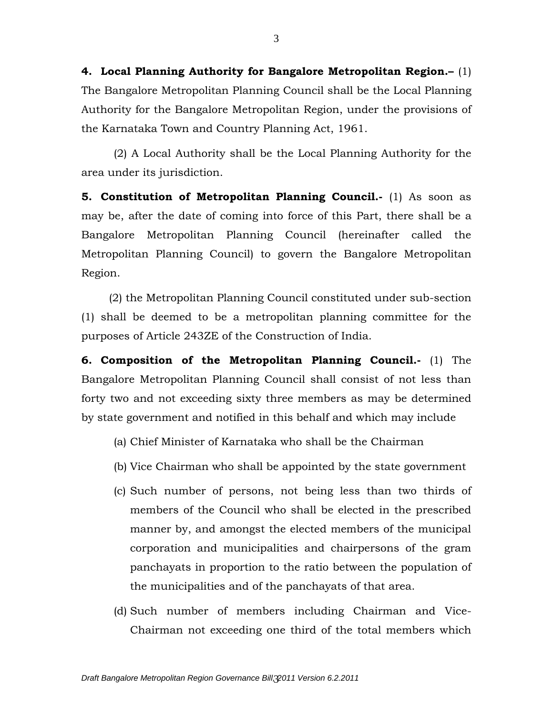**4. Local Planning Authority for Bangalore Metropolitan Region.–** (1) The Bangalore Metropolitan Planning Council shall be the Local Planning Authority for the Bangalore Metropolitan Region, under the provisions of the Karnataka Town and Country Planning Act, 1961.

(2) A Local Authority shall be the Local Planning Authority for the area under its jurisdiction.

**5. Constitution of Metropolitan Planning Council.-** (1) As soon as may be, after the date of coming into force of this Part, there shall be a Bangalore Metropolitan Planning Council (hereinafter called the Metropolitan Planning Council) to govern the Bangalore Metropolitan Region.

 (2) the Metropolitan Planning Council constituted under sub-section (1) shall be deemed to be a metropolitan planning committee for the purposes of Article 243ZE of the Construction of India.

**6. Composition of the Metropolitan Planning Council.-** (1) The Bangalore Metropolitan Planning Council shall consist of not less than forty two and not exceeding sixty three members as may be determined by state government and notified in this behalf and which may include

- (a) Chief Minister of Karnataka who shall be the Chairman
- (b) Vice Chairman who shall be appointed by the state government
- (c) Such number of persons, not being less than two thirds of members of the Council who shall be elected in the prescribed manner by, and amongst the elected members of the municipal corporation and municipalities and chairpersons of the gram panchayats in proportion to the ratio between the population of the municipalities and of the panchayats of that area.
- (d) Such number of members including Chairman and Vice-Chairman not exceeding one third of the total members which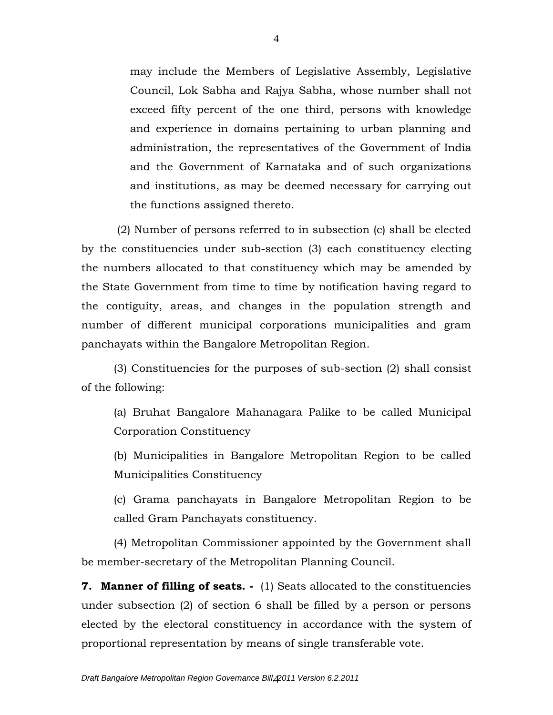may include the Members of Legislative Assembly, Legislative Council, Lok Sabha and Rajya Sabha, whose number shall not exceed fifty percent of the one third, persons with knowledge and experience in domains pertaining to urban planning and administration, the representatives of the Government of India and the Government of Karnataka and of such organizations and institutions, as may be deemed necessary for carrying out the functions assigned thereto.

(2) Number of persons referred to in subsection (c) shall be elected by the constituencies under sub-section (3) each constituency electing the numbers allocated to that constituency which may be amended by the State Government from time to time by notification having regard to the contiguity, areas, and changes in the population strength and number of different municipal corporations municipalities and gram panchayats within the Bangalore Metropolitan Region.

(3) Constituencies for the purposes of sub-section (2) shall consist of the following:

(a) Bruhat Bangalore Mahanagara Palike to be called Municipal Corporation Constituency

(b) Municipalities in Bangalore Metropolitan Region to be called Municipalities Constituency

(c) Grama panchayats in Bangalore Metropolitan Region to be called Gram Panchayats constituency.

(4) Metropolitan Commissioner appointed by the Government shall be member-secretary of the Metropolitan Planning Council.

**7. Manner of filling of seats. -** (1) Seats allocated to the constituencies under subsection (2) of section 6 shall be filled by a person or persons elected by the electoral constituency in accordance with the system of proportional representation by means of single transferable vote.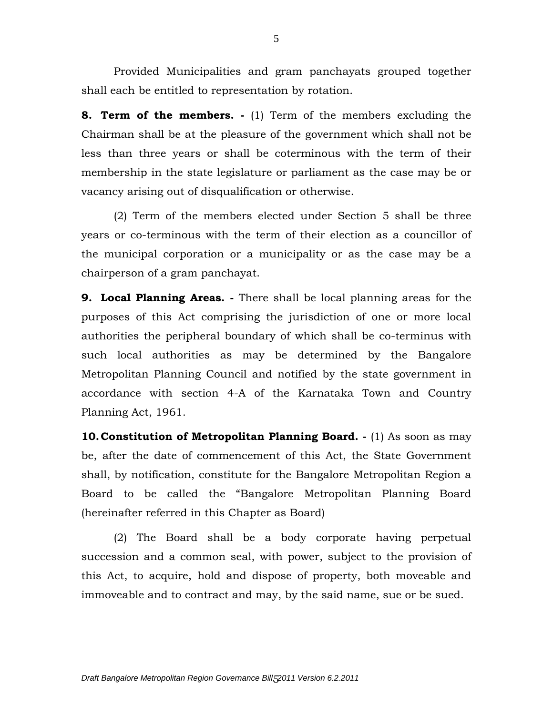Provided Municipalities and gram panchayats grouped together shall each be entitled to representation by rotation.

**8. Term of the members. -** (1) Term of the members excluding the Chairman shall be at the pleasure of the government which shall not be less than three years or shall be coterminous with the term of their membership in the state legislature or parliament as the case may be or vacancy arising out of disqualification or otherwise.

(2) Term of the members elected under Section 5 shall be three years or co-terminous with the term of their election as a councillor of the municipal corporation or a municipality or as the case may be a chairperson of a gram panchayat.

**9. Local Planning Areas. -** There shall be local planning areas for the purposes of this Act comprising the jurisdiction of one or more local authorities the peripheral boundary of which shall be co-terminus with such local authorities as may be determined by the Bangalore Metropolitan Planning Council and notified by the state government in accordance with section 4-A of the Karnataka Town and Country Planning Act, 1961.

**10.Constitution of Metropolitan Planning Board. -** (1) As soon as may be, after the date of commencement of this Act, the State Government shall, by notification, constitute for the Bangalore Metropolitan Region a Board to be called the "Bangalore Metropolitan Planning Board (hereinafter referred in this Chapter as Board)

(2) The Board shall be a body corporate having perpetual succession and a common seal, with power, subject to the provision of this Act, to acquire, hold and dispose of property, both moveable and immoveable and to contract and may, by the said name, sue or be sued.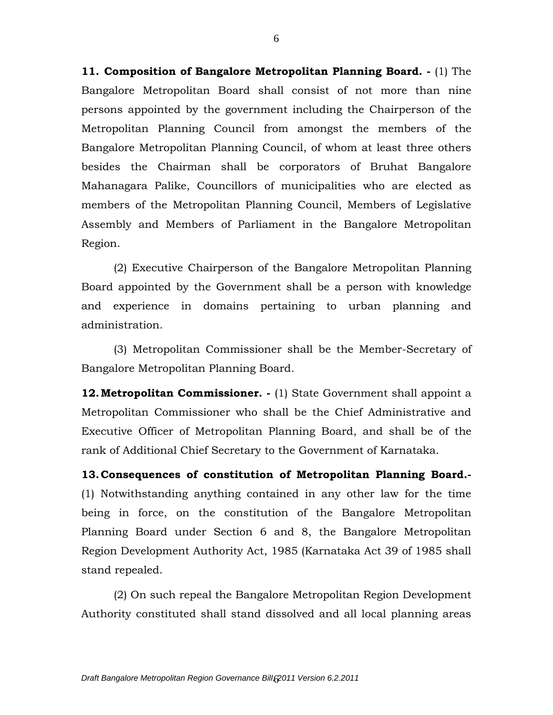**11. Composition of Bangalore Metropolitan Planning Board. -** (1) The Bangalore Metropolitan Board shall consist of not more than nine persons appointed by the government including the Chairperson of the Metropolitan Planning Council from amongst the members of the Bangalore Metropolitan Planning Council, of whom at least three others besides the Chairman shall be corporators of Bruhat Bangalore Mahanagara Palike, Councillors of municipalities who are elected as members of the Metropolitan Planning Council, Members of Legislative Assembly and Members of Parliament in the Bangalore Metropolitan Region.

(2) Executive Chairperson of the Bangalore Metropolitan Planning Board appointed by the Government shall be a person with knowledge and experience in domains pertaining to urban planning and administration.

(3) Metropolitan Commissioner shall be the Member-Secretary of Bangalore Metropolitan Planning Board.

**12. Metropolitan Commissioner.** - (1) State Government shall appoint a Metropolitan Commissioner who shall be the Chief Administrative and Executive Officer of Metropolitan Planning Board, and shall be of the rank of Additional Chief Secretary to the Government of Karnataka.

**13.Consequences of constitution of Metropolitan Planning Board.-** (1) Notwithstanding anything contained in any other law for the time being in force, on the constitution of the Bangalore Metropolitan Planning Board under Section 6 and 8, the Bangalore Metropolitan Region Development Authority Act, 1985 (Karnataka Act 39 of 1985 shall stand repealed.

(2) On such repeal the Bangalore Metropolitan Region Development Authority constituted shall stand dissolved and all local planning areas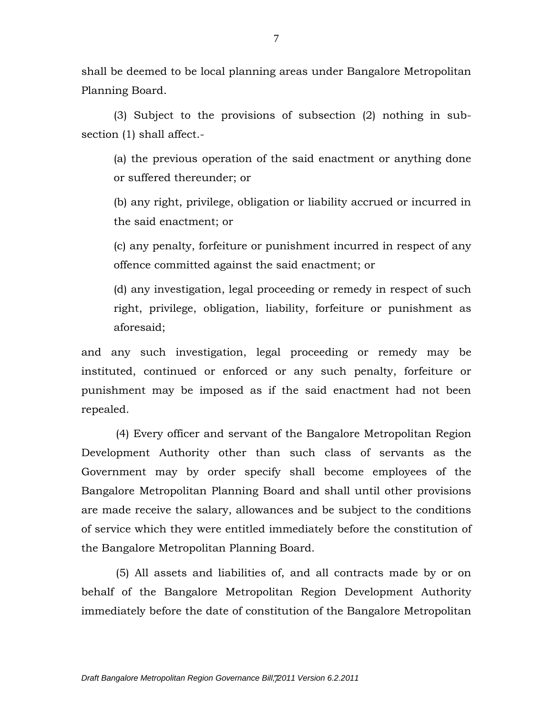shall be deemed to be local planning areas under Bangalore Metropolitan Planning Board.

(3) Subject to the provisions of subsection (2) nothing in subsection (1) shall affect.-

(a) the previous operation of the said enactment or anything done or suffered thereunder; or

(b) any right, privilege, obligation or liability accrued or incurred in the said enactment; or

(c) any penalty, forfeiture or punishment incurred in respect of any offence committed against the said enactment; or

(d) any investigation, legal proceeding or remedy in respect of such right, privilege, obligation, liability, forfeiture or punishment as aforesaid;

and any such investigation, legal proceeding or remedy may be instituted, continued or enforced or any such penalty, forfeiture or punishment may be imposed as if the said enactment had not been repealed.

 (4) Every officer and servant of the Bangalore Metropolitan Region Development Authority other than such class of servants as the Government may by order specify shall become employees of the Bangalore Metropolitan Planning Board and shall until other provisions are made receive the salary, allowances and be subject to the conditions of service which they were entitled immediately before the constitution of the Bangalore Metropolitan Planning Board.

 (5) All assets and liabilities of, and all contracts made by or on behalf of the Bangalore Metropolitan Region Development Authority immediately before the date of constitution of the Bangalore Metropolitan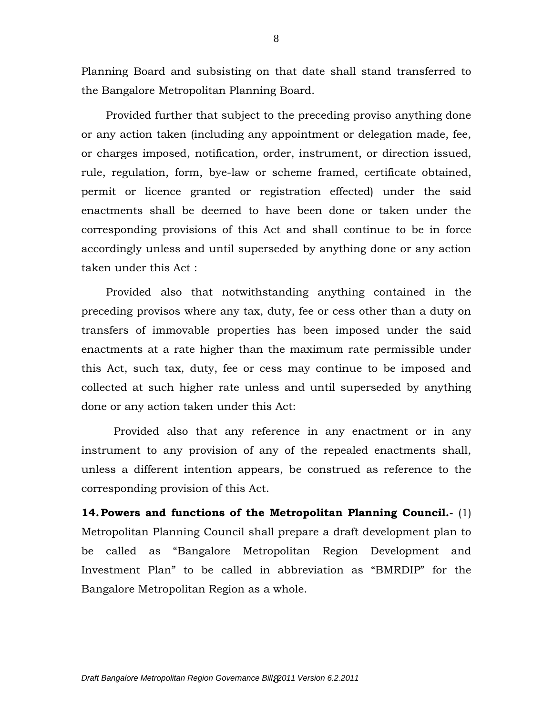Planning Board and subsisting on that date shall stand transferred to the Bangalore Metropolitan Planning Board.

Provided further that subject to the preceding proviso anything done or any action taken (including any appointment or delegation made, fee, or charges imposed, notification, order, instrument, or direction issued, rule, regulation, form, bye-law or scheme framed, certificate obtained, permit or licence granted or registration effected) under the said enactments shall be deemed to have been done or taken under the corresponding provisions of this Act and shall continue to be in force accordingly unless and until superseded by anything done or any action taken under this Act :

Provided also that notwithstanding anything contained in the preceding provisos where any tax, duty, fee or cess other than a duty on transfers of immovable properties has been imposed under the said enactments at a rate higher than the maximum rate permissible under this Act, such tax, duty, fee or cess may continue to be imposed and collected at such higher rate unless and until superseded by anything done or any action taken under this Act:

Provided also that any reference in any enactment or in any instrument to any provision of any of the repealed enactments shall, unless a different intention appears, be construed as reference to the corresponding provision of this Act.

**14.Powers and functions of the Metropolitan Planning Council.-** (1) Metropolitan Planning Council shall prepare a draft development plan to be called as "Bangalore Metropolitan Region Development and Investment Plan" to be called in abbreviation as "BMRDIP" for the Bangalore Metropolitan Region as a whole.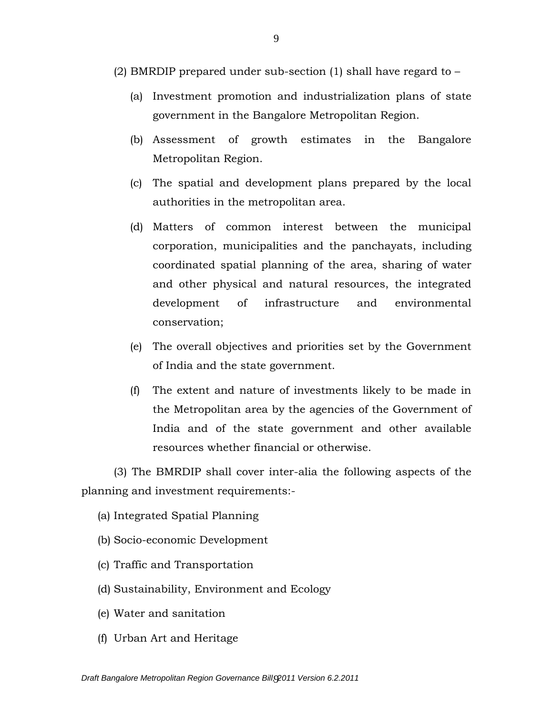- (2) BMRDIP prepared under sub-section (1) shall have regard to
	- (a) Investment promotion and industrialization plans of state government in the Bangalore Metropolitan Region.
	- (b) Assessment of growth estimates in the Bangalore Metropolitan Region.
	- (c) The spatial and development plans prepared by the local authorities in the metropolitan area.
	- (d) Matters of common interest between the municipal corporation, municipalities and the panchayats, including coordinated spatial planning of the area, sharing of water and other physical and natural resources, the integrated development of infrastructure and environmental conservation;
	- (e) The overall objectives and priorities set by the Government of India and the state government.
	- (f) The extent and nature of investments likely to be made in the Metropolitan area by the agencies of the Government of India and of the state government and other available resources whether financial or otherwise.

(3) The BMRDIP shall cover inter-alia the following aspects of the planning and investment requirements:-

- (a) Integrated Spatial Planning
- (b) Socio-economic Development
- (c) Traffic and Transportation
- (d) Sustainability, Environment and Ecology
- (e) Water and sanitation
- (f) Urban Art and Heritage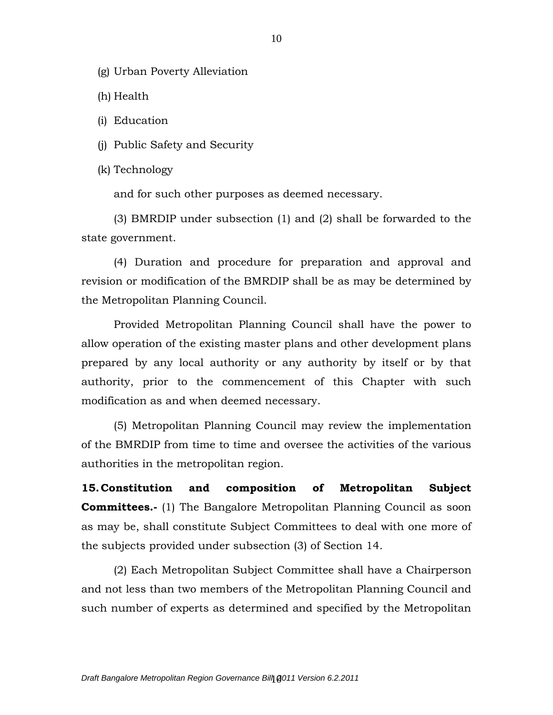(g) Urban Poverty Alleviation

(h) Health

(i) Education

(j) Public Safety and Security

(k) Technology

and for such other purposes as deemed necessary.

(3) BMRDIP under subsection (1) and (2) shall be forwarded to the state government.

(4) Duration and procedure for preparation and approval and revision or modification of the BMRDIP shall be as may be determined by the Metropolitan Planning Council.

Provided Metropolitan Planning Council shall have the power to allow operation of the existing master plans and other development plans prepared by any local authority or any authority by itself or by that authority, prior to the commencement of this Chapter with such modification as and when deemed necessary.

(5) Metropolitan Planning Council may review the implementation of the BMRDIP from time to time and oversee the activities of the various authorities in the metropolitan region.

**15.Constitution and composition of Metropolitan Subject Committees.-** (1) The Bangalore Metropolitan Planning Council as soon as may be, shall constitute Subject Committees to deal with one more of the subjects provided under subsection (3) of Section 14.

(2) Each Metropolitan Subject Committee shall have a Chairperson and not less than two members of the Metropolitan Planning Council and such number of experts as determined and specified by the Metropolitan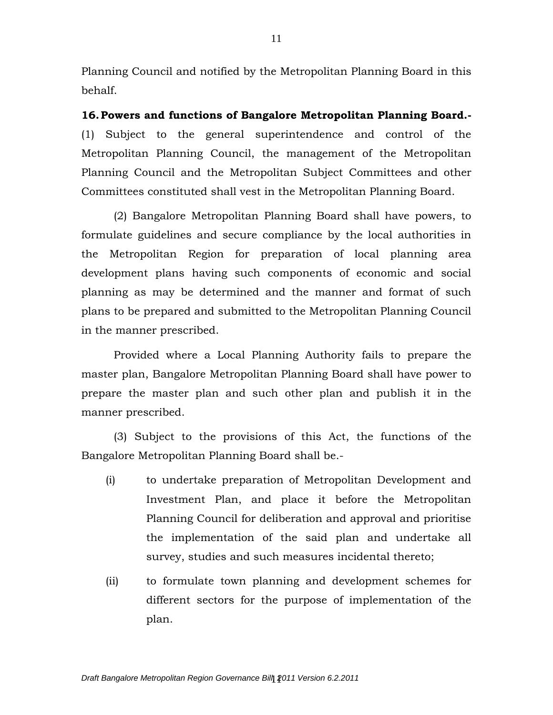Planning Council and notified by the Metropolitan Planning Board in this behalf.

**16.Powers and functions of Bangalore Metropolitan Planning Board.-** (1) Subject to the general superintendence and control of the Metropolitan Planning Council, the management of the Metropolitan Planning Council and the Metropolitan Subject Committees and other Committees constituted shall vest in the Metropolitan Planning Board.

(2) Bangalore Metropolitan Planning Board shall have powers, to formulate guidelines and secure compliance by the local authorities in the Metropolitan Region for preparation of local planning area development plans having such components of economic and social planning as may be determined and the manner and format of such plans to be prepared and submitted to the Metropolitan Planning Council in the manner prescribed.

Provided where a Local Planning Authority fails to prepare the master plan, Bangalore Metropolitan Planning Board shall have power to prepare the master plan and such other plan and publish it in the manner prescribed.

(3) Subject to the provisions of this Act, the functions of the Bangalore Metropolitan Planning Board shall be.-

- (i) to undertake preparation of Metropolitan Development and Investment Plan, and place it before the Metropolitan Planning Council for deliberation and approval and prioritise the implementation of the said plan and undertake all survey, studies and such measures incidental thereto;
- (ii) to formulate town planning and development schemes for different sectors for the purpose of implementation of the plan.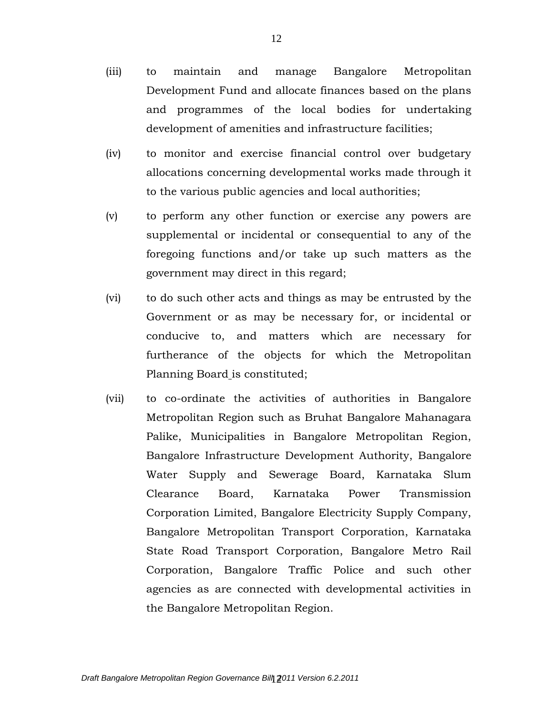- (iii) to maintain and manage Bangalore Metropolitan Development Fund and allocate finances based on the plans and programmes of the local bodies for undertaking development of amenities and infrastructure facilities;
- (iv) to monitor and exercise financial control over budgetary allocations concerning developmental works made through it to the various public agencies and local authorities;
- (v) to perform any other function or exercise any powers are supplemental or incidental or consequential to any of the foregoing functions and/or take up such matters as the government may direct in this regard;
- (vi) to do such other acts and things as may be entrusted by the Government or as may be necessary for, or incidental or conducive to, and matters which are necessary for furtherance of the objects for which the Metropolitan Planning Board is constituted;
- (vii) to co-ordinate the activities of authorities in Bangalore Metropolitan Region such as Bruhat Bangalore Mahanagara Palike, Municipalities in Bangalore Metropolitan Region, Bangalore Infrastructure Development Authority, Bangalore Water Supply and Sewerage Board, Karnataka Slum Clearance Board, Karnataka Power Transmission Corporation Limited, Bangalore Electricity Supply Company, Bangalore Metropolitan Transport Corporation, Karnataka State Road Transport Corporation, Bangalore Metro Rail Corporation, Bangalore Traffic Police and such other agencies as are connected with developmental activities in the Bangalore Metropolitan Region.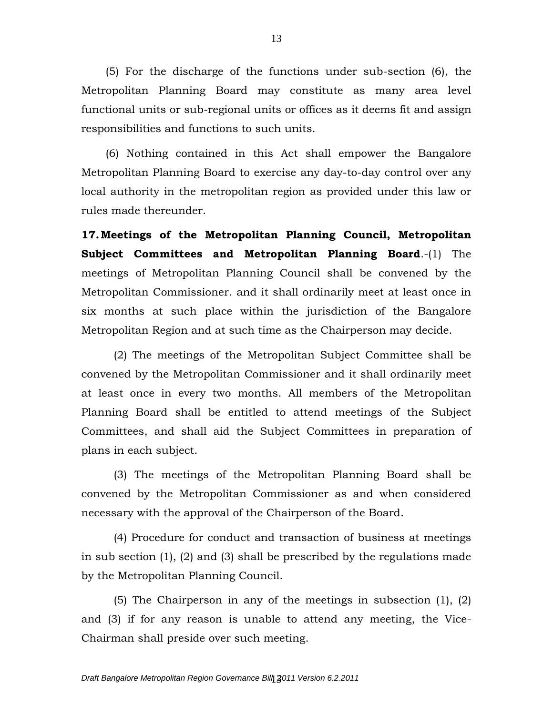(5) For the discharge of the functions under sub-section (6), the Metropolitan Planning Board may constitute as many area level functional units or sub-regional units or offices as it deems fit and assign responsibilities and functions to such units.

(6) Nothing contained in this Act shall empower the Bangalore Metropolitan Planning Board to exercise any day-to-day control over any local authority in the metropolitan region as provided under this law or rules made thereunder.

**17.Meetings of the Metropolitan Planning Council, Metropolitan Subject Committees and Metropolitan Planning Board**.-(1) The meetings of Metropolitan Planning Council shall be convened by the Metropolitan Commissioner. and it shall ordinarily meet at least once in six months at such place within the jurisdiction of the Bangalore Metropolitan Region and at such time as the Chairperson may decide.

(2) The meetings of the Metropolitan Subject Committee shall be convened by the Metropolitan Commissioner and it shall ordinarily meet at least once in every two months. All members of the Metropolitan Planning Board shall be entitled to attend meetings of the Subject Committees, and shall aid the Subject Committees in preparation of plans in each subject.

(3) The meetings of the Metropolitan Planning Board shall be convened by the Metropolitan Commissioner as and when considered necessary with the approval of the Chairperson of the Board.

(4) Procedure for conduct and transaction of business at meetings in sub section (1), (2) and (3) shall be prescribed by the regulations made by the Metropolitan Planning Council.

(5) The Chairperson in any of the meetings in subsection (1), (2) and (3) if for any reason is unable to attend any meeting, the Vice-Chairman shall preside over such meeting.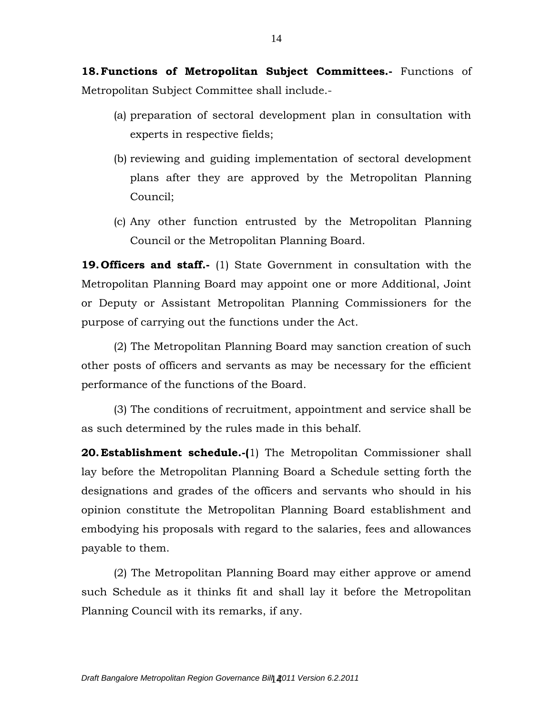**18.Functions of Metropolitan Subject Committees.-** Functions of Metropolitan Subject Committee shall include.-

- (a) preparation of sectoral development plan in consultation with experts in respective fields;
- (b) reviewing and guiding implementation of sectoral development plans after they are approved by the Metropolitan Planning Council;
- (c) Any other function entrusted by the Metropolitan Planning Council or the Metropolitan Planning Board.

**19. Officers and staff.-** (1) State Government in consultation with the Metropolitan Planning Board may appoint one or more Additional, Joint or Deputy or Assistant Metropolitan Planning Commissioners for the purpose of carrying out the functions under the Act.

(2) The Metropolitan Planning Board may sanction creation of such other posts of officers and servants as may be necessary for the efficient performance of the functions of the Board.

(3) The conditions of recruitment, appointment and service shall be as such determined by the rules made in this behalf.

**20.Establishment schedule.-(**1) The Metropolitan Commissioner shall lay before the Metropolitan Planning Board a Schedule setting forth the designations and grades of the officers and servants who should in his opinion constitute the Metropolitan Planning Board establishment and embodying his proposals with regard to the salaries, fees and allowances payable to them.

(2) The Metropolitan Planning Board may either approve or amend such Schedule as it thinks fit and shall lay it before the Metropolitan Planning Council with its remarks, if any.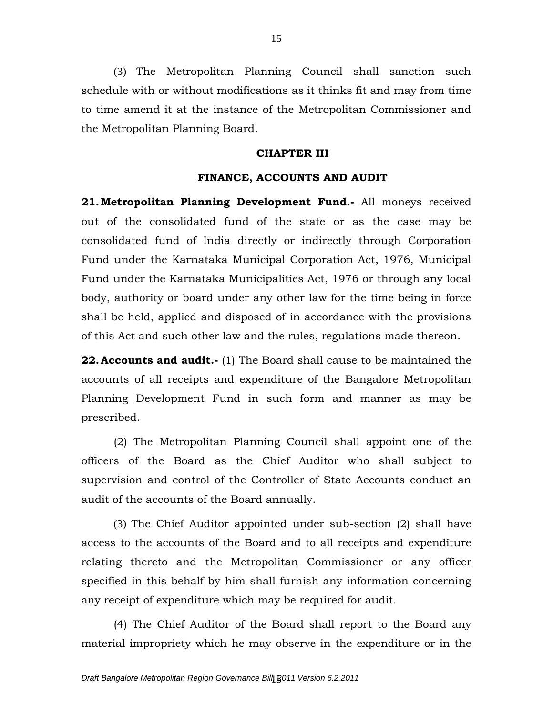(3) The Metropolitan Planning Council shall sanction such schedule with or without modifications as it thinks fit and may from time to time amend it at the instance of the Metropolitan Commissioner and the Metropolitan Planning Board.

## **CHAPTER III**

#### **FINANCE, ACCOUNTS AND AUDIT**

**21.Metropolitan Planning Development Fund.-** All moneys received out of the consolidated fund of the state or as the case may be consolidated fund of India directly or indirectly through Corporation Fund under the Karnataka Municipal Corporation Act, 1976, Municipal Fund under the Karnataka Municipalities Act, 1976 or through any local body, authority or board under any other law for the time being in force shall be held, applied and disposed of in accordance with the provisions of this Act and such other law and the rules, regulations made thereon.

**22.Accounts and audit.-** (1) The Board shall cause to be maintained the accounts of all receipts and expenditure of the Bangalore Metropolitan Planning Development Fund in such form and manner as may be prescribed.

(2) The Metropolitan Planning Council shall appoint one of the officers of the Board as the Chief Auditor who shall subject to supervision and control of the Controller of State Accounts conduct an audit of the accounts of the Board annually.

(3) The Chief Auditor appointed under sub-section (2) shall have access to the accounts of the Board and to all receipts and expenditure relating thereto and the Metropolitan Commissioner or any officer specified in this behalf by him shall furnish any information concerning any receipt of expenditure which may be required for audit.

(4) The Chief Auditor of the Board shall report to the Board any material impropriety which he may observe in the expenditure or in the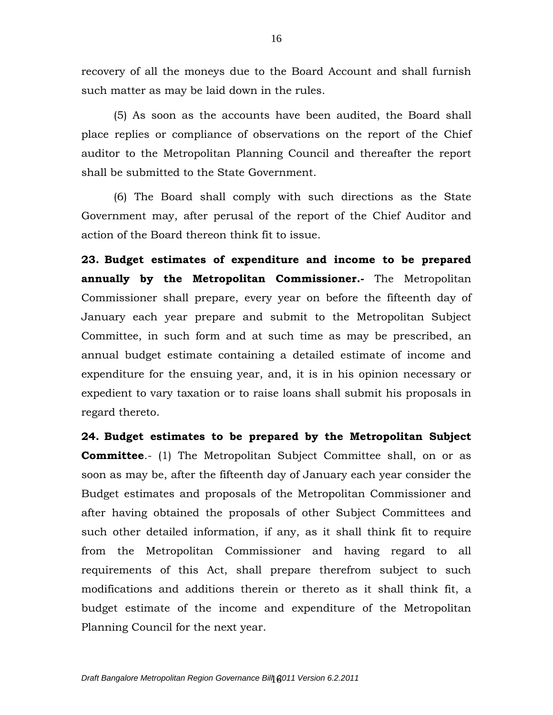recovery of all the moneys due to the Board Account and shall furnish such matter as may be laid down in the rules.

(5) As soon as the accounts have been audited, the Board shall place replies or compliance of observations on the report of the Chief auditor to the Metropolitan Planning Council and thereafter the report shall be submitted to the State Government.

(6) The Board shall comply with such directions as the State Government may, after perusal of the report of the Chief Auditor and action of the Board thereon think fit to issue.

**23. Budget estimates of expenditure and income to be prepared annually by the Metropolitan Commissioner.-** The Metropolitan Commissioner shall prepare, every year on before the fifteenth day of January each year prepare and submit to the Metropolitan Subject Committee, in such form and at such time as may be prescribed, an annual budget estimate containing a detailed estimate of income and expenditure for the ensuing year, and, it is in his opinion necessary or expedient to vary taxation or to raise loans shall submit his proposals in regard thereto.

**24. Budget estimates to be prepared by the Metropolitan Subject Committee.**- (1) The Metropolitan Subject Committee shall, on or as soon as may be, after the fifteenth day of January each year consider the Budget estimates and proposals of the Metropolitan Commissioner and after having obtained the proposals of other Subject Committees and such other detailed information, if any, as it shall think fit to require from the Metropolitan Commissioner and having regard to all requirements of this Act, shall prepare therefrom subject to such modifications and additions therein or thereto as it shall think fit, a budget estimate of the income and expenditure of the Metropolitan Planning Council for the next year.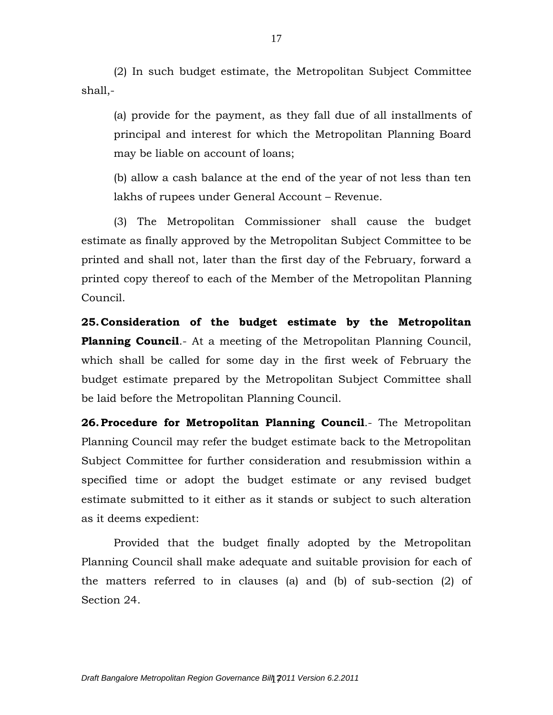(2) In such budget estimate, the Metropolitan Subject Committee shall,-

(a) provide for the payment, as they fall due of all installments of principal and interest for which the Metropolitan Planning Board may be liable on account of loans;

(b) allow a cash balance at the end of the year of not less than ten lakhs of rupees under General Account – Revenue.

(3) The Metropolitan Commissioner shall cause the budget estimate as finally approved by the Metropolitan Subject Committee to be printed and shall not, later than the first day of the February, forward a printed copy thereof to each of the Member of the Metropolitan Planning Council.

**25.Consideration of the budget estimate by the Metropolitan Planning Council**.- At a meeting of the Metropolitan Planning Council, which shall be called for some day in the first week of February the budget estimate prepared by the Metropolitan Subject Committee shall be laid before the Metropolitan Planning Council.

**26.Procedure for Metropolitan Planning Council**.- The Metropolitan Planning Council may refer the budget estimate back to the Metropolitan Subject Committee for further consideration and resubmission within a specified time or adopt the budget estimate or any revised budget estimate submitted to it either as it stands or subject to such alteration as it deems expedient:

Provided that the budget finally adopted by the Metropolitan Planning Council shall make adequate and suitable provision for each of the matters referred to in clauses (a) and (b) of sub-section (2) of Section 24.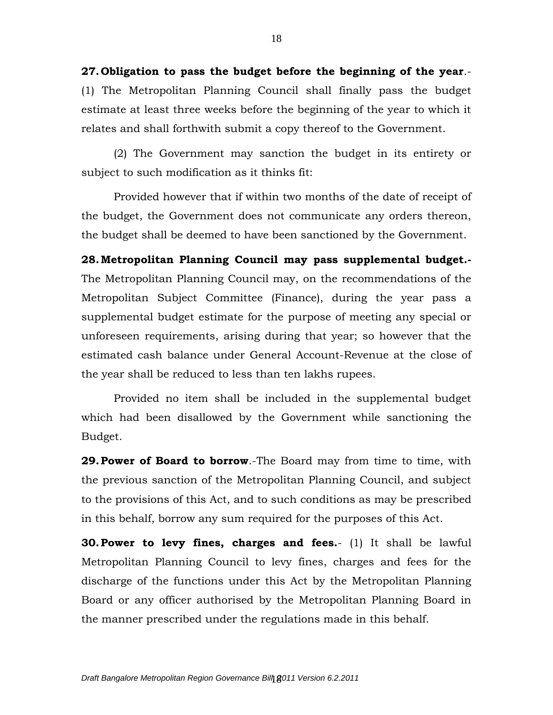**27. Obligation to pass the budget before the beginning of the year**.- (1) The Metropolitan Planning Council shall finally pass the budget estimate at least three weeks before the beginning of the year to which it relates and shall forthwith submit a copy thereof to the Government.

(2) The Government may sanction the budget in its entirety or subject to such modification as it thinks fit:

Provided however that if within two months of the date of receipt of the budget, the Government does not communicate any orders thereon, the budget shall be deemed to have been sanctioned by the Government.

**28.Metropolitan Planning Council may pass supplemental budget.-** The Metropolitan Planning Council may, on the recommendations of the Metropolitan Subject Committee (Finance), during the year pass a supplemental budget estimate for the purpose of meeting any special or unforeseen requirements, arising during that year; so however that the estimated cash balance under General Account-Revenue at the close of the year shall be reduced to less than ten lakhs rupees.

Provided no item shall be included in the supplemental budget which had been disallowed by the Government while sanctioning the Budget.

**29.Power of Board to borrow**.-The Board may from time to time, with the previous sanction of the Metropolitan Planning Council, and subject to the provisions of this Act, and to such conditions as may be prescribed in this behalf, borrow any sum required for the purposes of this Act.

**30.Power to levy fines, charges and fees.**- (1) It shall be lawful Metropolitan Planning Council to levy fines, charges and fees for the discharge of the functions under this Act by the Metropolitan Planning Board or any officer authorised by the Metropolitan Planning Board in the manner prescribed under the regulations made in this behalf.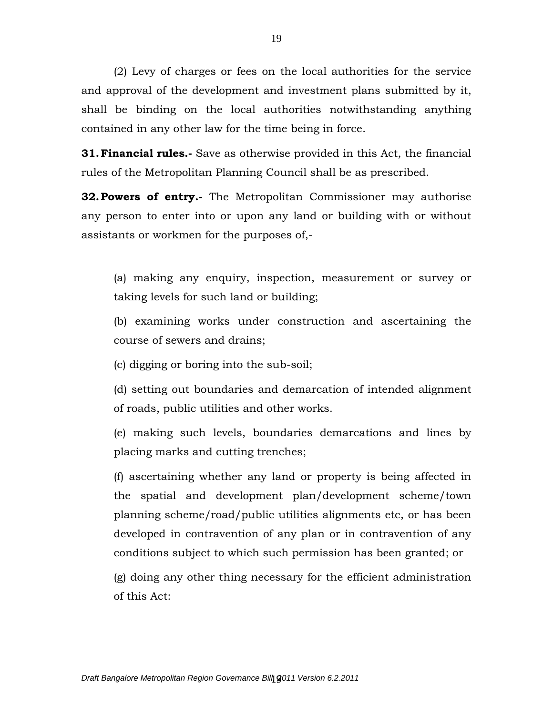(2) Levy of charges or fees on the local authorities for the service and approval of the development and investment plans submitted by it, shall be binding on the local authorities notwithstanding anything contained in any other law for the time being in force.

**31.Financial rules.-** Save as otherwise provided in this Act, the financial rules of the Metropolitan Planning Council shall be as prescribed.

**32.Powers of entry.-** The Metropolitan Commissioner may authorise any person to enter into or upon any land or building with or without assistants or workmen for the purposes of,-

(a) making any enquiry, inspection, measurement or survey or taking levels for such land or building;

(b) examining works under construction and ascertaining the course of sewers and drains;

(c) digging or boring into the sub-soil;

(d) setting out boundaries and demarcation of intended alignment of roads, public utilities and other works.

(e) making such levels, boundaries demarcations and lines by placing marks and cutting trenches;

(f) ascertaining whether any land or property is being affected in the spatial and development plan/development scheme/town planning scheme/road/public utilities alignments etc, or has been developed in contravention of any plan or in contravention of any conditions subject to which such permission has been granted; or

(g) doing any other thing necessary for the efficient administration of this Act: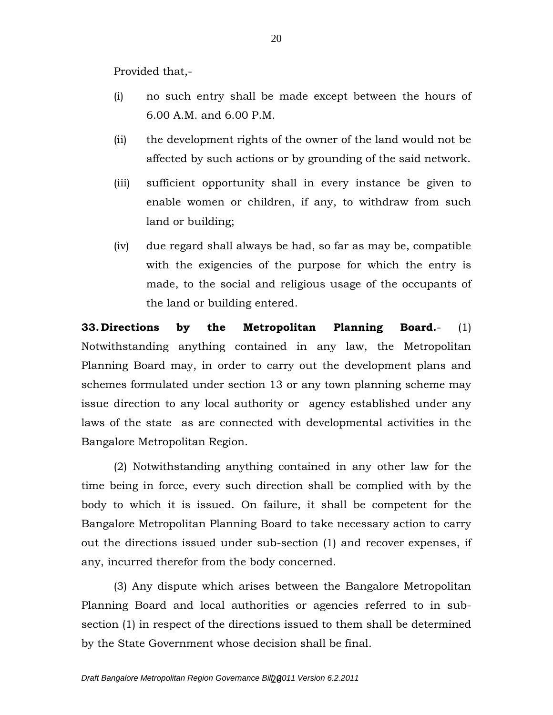Provided that,-

- (i) no such entry shall be made except between the hours of 6.00 A.M. and 6.00 P.M.
- (ii) the development rights of the owner of the land would not be affected by such actions or by grounding of the said network.
- (iii) sufficient opportunity shall in every instance be given to enable women or children, if any, to withdraw from such land or building;
- (iv) due regard shall always be had, so far as may be, compatible with the exigencies of the purpose for which the entry is made, to the social and religious usage of the occupants of the land or building entered.

**33.Directions by the Metropolitan Planning Board.**- (1) Notwithstanding anything contained in any law, the Metropolitan Planning Board may, in order to carry out the development plans and schemes formulated under section 13 or any town planning scheme may issue direction to any local authority or agency established under any laws of the state as are connected with developmental activities in the Bangalore Metropolitan Region.

(2) Notwithstanding anything contained in any other law for the time being in force, every such direction shall be complied with by the body to which it is issued. On failure, it shall be competent for the Bangalore Metropolitan Planning Board to take necessary action to carry out the directions issued under sub-section (1) and recover expenses, if any, incurred therefor from the body concerned.

(3) Any dispute which arises between the Bangalore Metropolitan Planning Board and local authorities or agencies referred to in subsection (1) in respect of the directions issued to them shall be determined by the State Government whose decision shall be final.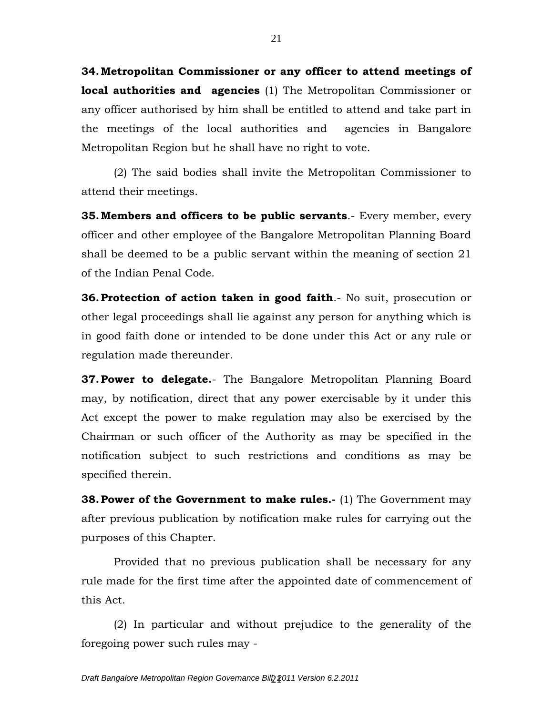**34.Metropolitan Commissioner or any officer to attend meetings of local authorities and agencies** (1) The Metropolitan Commissioner or any officer authorised by him shall be entitled to attend and take part in the meetings of the local authorities and agencies in Bangalore Metropolitan Region but he shall have no right to vote.

(2) The said bodies shall invite the Metropolitan Commissioner to attend their meetings.

**35.Members and officers to be public servants**.- Every member, every officer and other employee of the Bangalore Metropolitan Planning Board shall be deemed to be a public servant within the meaning of section 21 of the Indian Penal Code.

**36.Protection of action taken in good faith**.- No suit, prosecution or other legal proceedings shall lie against any person for anything which is in good faith done or intended to be done under this Act or any rule or regulation made thereunder.

**37.Power to delegate.**- The Bangalore Metropolitan Planning Board may, by notification, direct that any power exercisable by it under this Act except the power to make regulation may also be exercised by the Chairman or such officer of the Authority as may be specified in the notification subject to such restrictions and conditions as may be specified therein.

**38. Power of the Government to make rules.** (1) The Government may after previous publication by notification make rules for carrying out the purposes of this Chapter.

Provided that no previous publication shall be necessary for any rule made for the first time after the appointed date of commencement of this Act.

(2) In particular and without prejudice to the generality of the foregoing power such rules may -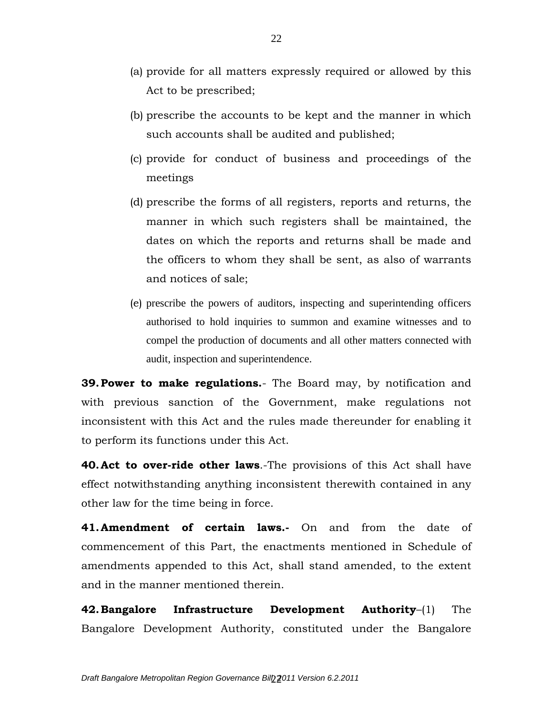- (a) provide for all matters expressly required or allowed by this Act to be prescribed;
- (b) prescribe the accounts to be kept and the manner in which such accounts shall be audited and published;
- (c) provide for conduct of business and proceedings of the meetings
- (d) prescribe the forms of all registers, reports and returns, the manner in which such registers shall be maintained, the dates on which the reports and returns shall be made and the officers to whom they shall be sent, as also of warrants and notices of sale;
- (e) prescribe the powers of auditors, inspecting and superintending officers authorised to hold inquiries to summon and examine witnesses and to compel the production of documents and all other matters connected with audit, inspection and superintendence.

**39.Power to make regulations.**- The Board may, by notification and with previous sanction of the Government, make regulations not inconsistent with this Act and the rules made thereunder for enabling it to perform its functions under this Act.

**40.Act to over-ride other laws**.-The provisions of this Act shall have effect notwithstanding anything inconsistent therewith contained in any other law for the time being in force.

**41.Amendment of certain laws.-** On and from the date of commencement of this Part, the enactments mentioned in Schedule of amendments appended to this Act, shall stand amended, to the extent and in the manner mentioned therein.

**42.Bangalore Infrastructure Development Authority**–(1) The Bangalore Development Authority, constituted under the Bangalore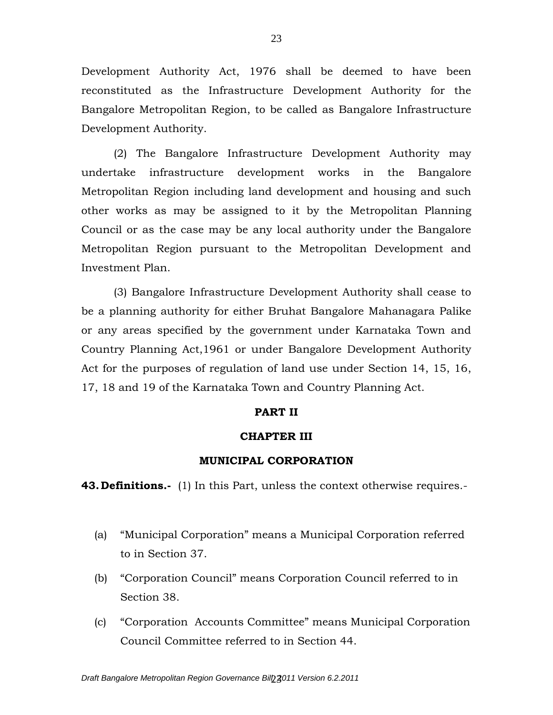Development Authority Act, 1976 shall be deemed to have been reconstituted as the Infrastructure Development Authority for the Bangalore Metropolitan Region, to be called as Bangalore Infrastructure Development Authority.

(2) The Bangalore Infrastructure Development Authority may undertake infrastructure development works in the Bangalore Metropolitan Region including land development and housing and such other works as may be assigned to it by the Metropolitan Planning Council or as the case may be any local authority under the Bangalore Metropolitan Region pursuant to the Metropolitan Development and Investment Plan.

(3) Bangalore Infrastructure Development Authority shall cease to be a planning authority for either Bruhat Bangalore Mahanagara Palike or any areas specified by the government under Karnataka Town and Country Planning Act,1961 or under Bangalore Development Authority Act for the purposes of regulation of land use under Section 14, 15, 16, 17, 18 and 19 of the Karnataka Town and Country Planning Act.

# **PART II**

#### **CHAPTER III**

#### **MUNICIPAL CORPORATION**

**43.Definitions.-** (1) In this Part, unless the context otherwise requires.-

- (a) "Municipal Corporation" means a Municipal Corporation referred to in Section 37.
- (b) "Corporation Council" means Corporation Council referred to in Section 38.
- (c) "Corporation Accounts Committee" means Municipal Corporation Council Committee referred to in Section 44.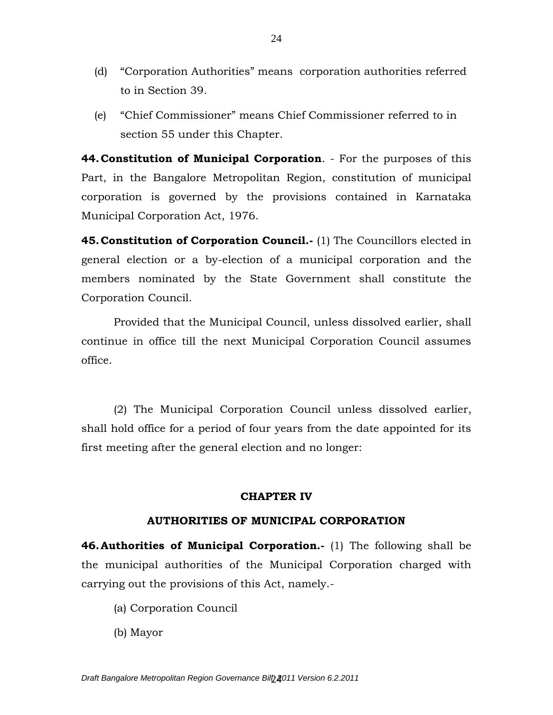- (d) "Corporation Authorities" means corporation authorities referred to in Section 39.
- (e) "Chief Commissioner" means Chief Commissioner referred to in section 55 under this Chapter.

**44.Constitution of Municipal Corporation**. - For the purposes of this Part, in the Bangalore Metropolitan Region, constitution of municipal corporation is governed by the provisions contained in Karnataka Municipal Corporation Act, 1976.

**45.Constitution of Corporation Council.-** (1) The Councillors elected in general election or a by-election of a municipal corporation and the members nominated by the State Government shall constitute the Corporation Council.

Provided that the Municipal Council, unless dissolved earlier, shall continue in office till the next Municipal Corporation Council assumes office.

(2) The Municipal Corporation Council unless dissolved earlier, shall hold office for a period of four years from the date appointed for its first meeting after the general election and no longer:

# **CHAPTER IV**

# **AUTHORITIES OF MUNICIPAL CORPORATION**

**46.Authorities of Municipal Corporation.-** (1) The following shall be the municipal authorities of the Municipal Corporation charged with carrying out the provisions of this Act, namely.-

- (a) Corporation Council
- (b) Mayor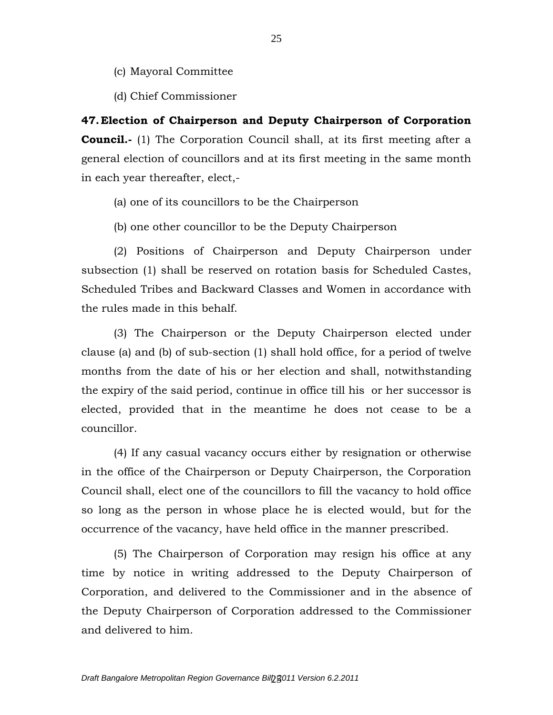- (c) Mayoral Committee
- (d) Chief Commissioner

**47.Election of Chairperson and Deputy Chairperson of Corporation Council.**- (1) The Corporation Council shall, at its first meeting after a general election of councillors and at its first meeting in the same month in each year thereafter, elect,-

- (a) one of its councillors to be the Chairperson
- (b) one other councillor to be the Deputy Chairperson

(2) Positions of Chairperson and Deputy Chairperson under subsection (1) shall be reserved on rotation basis for Scheduled Castes, Scheduled Tribes and Backward Classes and Women in accordance with the rules made in this behalf.

(3) The Chairperson or the Deputy Chairperson elected under clause (a) and (b) of sub-section (1) shall hold office, for a period of twelve months from the date of his or her election and shall, notwithstanding the expiry of the said period, continue in office till his or her successor is elected, provided that in the meantime he does not cease to be a councillor.

(4) If any casual vacancy occurs either by resignation or otherwise in the office of the Chairperson or Deputy Chairperson, the Corporation Council shall, elect one of the councillors to fill the vacancy to hold office so long as the person in whose place he is elected would, but for the occurrence of the vacancy, have held office in the manner prescribed.

(5) The Chairperson of Corporation may resign his office at any time by notice in writing addressed to the Deputy Chairperson of Corporation, and delivered to the Commissioner and in the absence of the Deputy Chairperson of Corporation addressed to the Commissioner and delivered to him.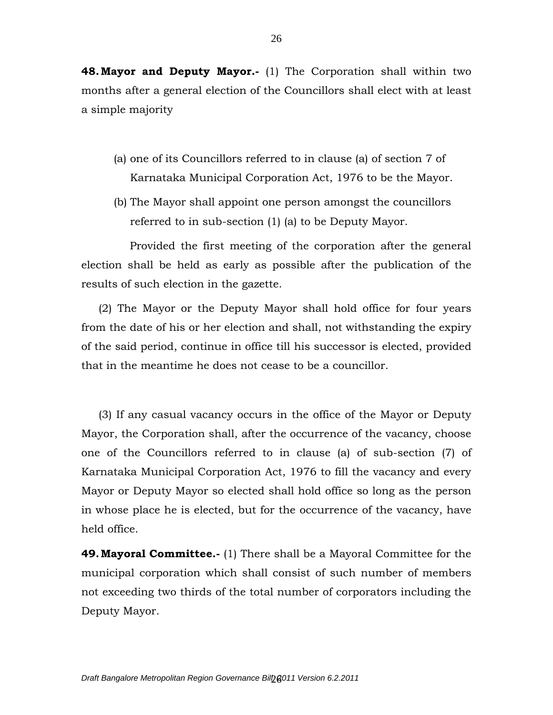**48.Mayor and Deputy Mayor.-** (1) The Corporation shall within two months after a general election of the Councillors shall elect with at least a simple majority

- (a) one of its Councillors referred to in clause (a) of section 7 of Karnataka Municipal Corporation Act, 1976 to be the Mayor.
- (b) The Mayor shall appoint one person amongst the councillors referred to in sub-section (1) (a) to be Deputy Mayor.

 Provided the first meeting of the corporation after the general election shall be held as early as possible after the publication of the results of such election in the gazette.

 (2) The Mayor or the Deputy Mayor shall hold office for four years from the date of his or her election and shall, not withstanding the expiry of the said period, continue in office till his successor is elected, provided that in the meantime he does not cease to be a councillor.

 (3) If any casual vacancy occurs in the office of the Mayor or Deputy Mayor, the Corporation shall, after the occurrence of the vacancy, choose one of the Councillors referred to in clause (a) of sub-section (7) of Karnataka Municipal Corporation Act, 1976 to fill the vacancy and every Mayor or Deputy Mayor so elected shall hold office so long as the person in whose place he is elected, but for the occurrence of the vacancy, have held office.

**49.Mayoral Committee.-** (1) There shall be a Mayoral Committee for the municipal corporation which shall consist of such number of members not exceeding two thirds of the total number of corporators including the Deputy Mayor.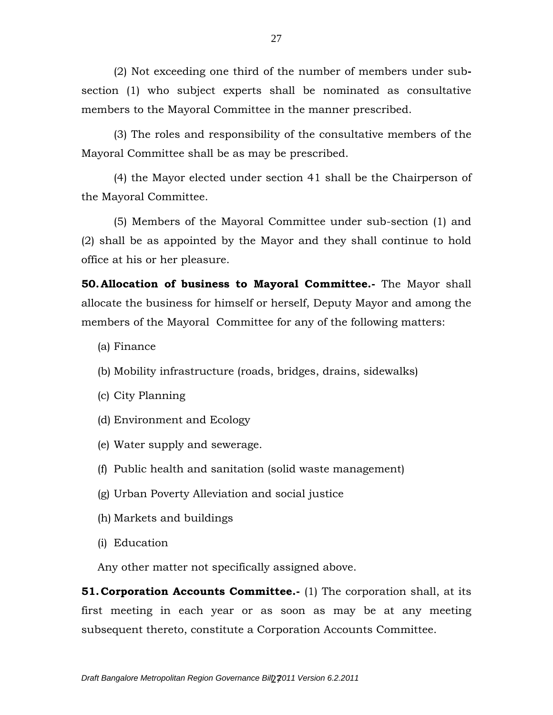(2) Not exceeding one third of the number of members under subsection (1) who subject experts shall be nominated as consultative members to the Mayoral Committee in the manner prescribed.

(3) The roles and responsibility of the consultative members of the Mayoral Committee shall be as may be prescribed.

(4) the Mayor elected under section 41 shall be the Chairperson of the Mayoral Committee.

(5) Members of the Mayoral Committee under sub-section (1) and (2) shall be as appointed by the Mayor and they shall continue to hold office at his or her pleasure.

**50.Allocation of business to Mayoral Committee.-** The Mayor shall allocate the business for himself or herself, Deputy Mayor and among the members of the Mayoral Committee for any of the following matters:

- (a) Finance
- (b) Mobility infrastructure (roads, bridges, drains, sidewalks)
- (c) City Planning
- (d) Environment and Ecology
- (e) Water supply and sewerage.
- (f) Public health and sanitation (solid waste management)
- (g) Urban Poverty Alleviation and social justice
- (h) Markets and buildings
- (i) Education

Any other matter not specifically assigned above.

**51. Corporation Accounts Committee.**- (1) The corporation shall, at its first meeting in each year or as soon as may be at any meeting subsequent thereto, constitute a Corporation Accounts Committee.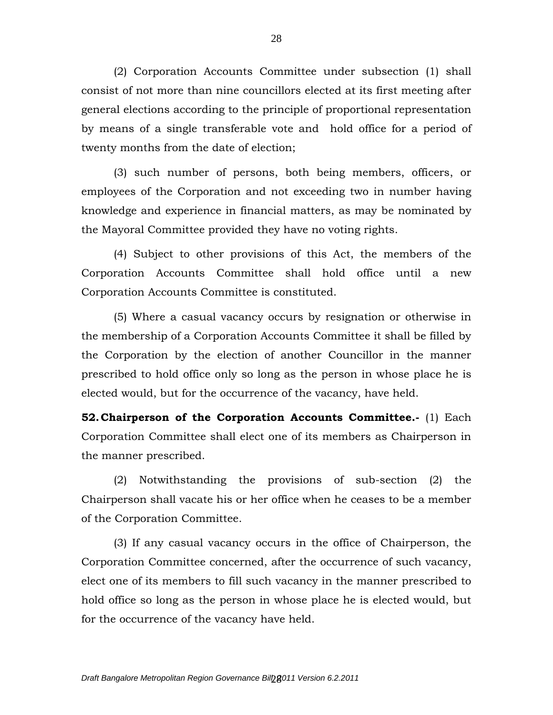(2) Corporation Accounts Committee under subsection (1) shall consist of not more than nine councillors elected at its first meeting after general elections according to the principle of proportional representation by means of a single transferable vote and hold office for a period of twenty months from the date of election;

(3) such number of persons, both being members, officers, or employees of the Corporation and not exceeding two in number having knowledge and experience in financial matters, as may be nominated by the Mayoral Committee provided they have no voting rights.

(4) Subject to other provisions of this Act, the members of the Corporation Accounts Committee shall hold office until a new Corporation Accounts Committee is constituted.

(5) Where a casual vacancy occurs by resignation or otherwise in the membership of a Corporation Accounts Committee it shall be filled by the Corporation by the election of another Councillor in the manner prescribed to hold office only so long as the person in whose place he is elected would, but for the occurrence of the vacancy, have held.

**52.Chairperson of the Corporation Accounts Committee.-** (1) Each Corporation Committee shall elect one of its members as Chairperson in the manner prescribed.

(2) Notwithstanding the provisions of sub-section (2) the Chairperson shall vacate his or her office when he ceases to be a member of the Corporation Committee.

(3) If any casual vacancy occurs in the office of Chairperson, the Corporation Committee concerned, after the occurrence of such vacancy, elect one of its members to fill such vacancy in the manner prescribed to hold office so long as the person in whose place he is elected would, but for the occurrence of the vacancy have held.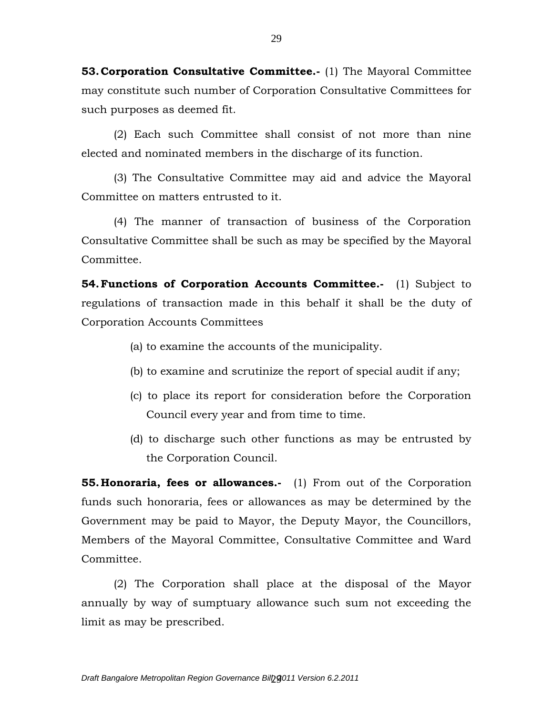**53.Corporation Consultative Committee.-** (1) The Mayoral Committee may constitute such number of Corporation Consultative Committees for such purposes as deemed fit.

(2) Each such Committee shall consist of not more than nine elected and nominated members in the discharge of its function.

(3) The Consultative Committee may aid and advice the Mayoral Committee on matters entrusted to it.

(4) The manner of transaction of business of the Corporation Consultative Committee shall be such as may be specified by the Mayoral Committee.

**54.Functions of Corporation Accounts Committee.-** (1) Subject to regulations of transaction made in this behalf it shall be the duty of Corporation Accounts Committees

- (a) to examine the accounts of the municipality.
- (b) to examine and scrutinize the report of special audit if any;
- (c) to place its report for consideration before the Corporation Council every year and from time to time.
- (d) to discharge such other functions as may be entrusted by the Corporation Council.

**55. Honoraria, fees or allowances.-** (1) From out of the Corporation funds such honoraria, fees or allowances as may be determined by the Government may be paid to Mayor, the Deputy Mayor, the Councillors, Members of the Mayoral Committee, Consultative Committee and Ward Committee.

(2) The Corporation shall place at the disposal of the Mayor annually by way of sumptuary allowance such sum not exceeding the limit as may be prescribed.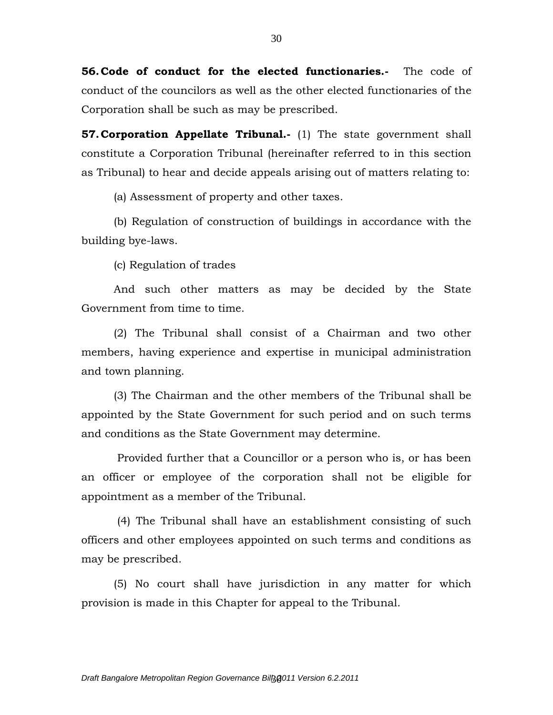**56.Code of conduct for the elected functionaries.-** The code of conduct of the councilors as well as the other elected functionaries of the Corporation shall be such as may be prescribed.

**57. Corporation Appellate Tribunal.**- (1) The state government shall constitute a Corporation Tribunal (hereinafter referred to in this section as Tribunal) to hear and decide appeals arising out of matters relating to:

(a) Assessment of property and other taxes.

(b) Regulation of construction of buildings in accordance with the building bye-laws.

(c) Regulation of trades

And such other matters as may be decided by the State Government from time to time.

(2) The Tribunal shall consist of a Chairman and two other members, having experience and expertise in municipal administration and town planning.

(3) The Chairman and the other members of the Tribunal shall be appointed by the State Government for such period and on such terms and conditions as the State Government may determine.

Provided further that a Councillor or a person who is, or has been an officer or employee of the corporation shall not be eligible for appointment as a member of the Tribunal.

(4) The Tribunal shall have an establishment consisting of such officers and other employees appointed on such terms and conditions as may be prescribed.

(5) No court shall have jurisdiction in any matter for which provision is made in this Chapter for appeal to the Tribunal.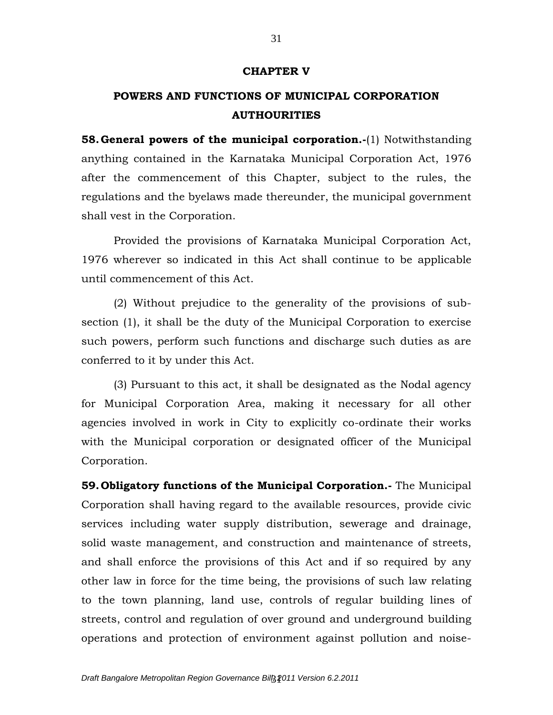#### **CHAPTER V**

# **POWERS AND FUNCTIONS OF MUNICIPAL CORPORATION AUTHOURITIES**

**58.General powers of the municipal corporation.-**(1) Notwithstanding anything contained in the Karnataka Municipal Corporation Act, 1976 after the commencement of this Chapter, subject to the rules, the regulations and the byelaws made thereunder, the municipal government shall vest in the Corporation.

Provided the provisions of Karnataka Municipal Corporation Act, 1976 wherever so indicated in this Act shall continue to be applicable until commencement of this Act.

(2) Without prejudice to the generality of the provisions of subsection (1), it shall be the duty of the Municipal Corporation to exercise such powers, perform such functions and discharge such duties as are conferred to it by under this Act.

(3) Pursuant to this act, it shall be designated as the Nodal agency for Municipal Corporation Area, making it necessary for all other agencies involved in work in City to explicitly co-ordinate their works with the Municipal corporation or designated officer of the Municipal Corporation.

**59. Obligatory functions of the Municipal Corporation.-** The Municipal Corporation shall having regard to the available resources, provide civic services including water supply distribution, sewerage and drainage, solid waste management, and construction and maintenance of streets, and shall enforce the provisions of this Act and if so required by any other law in force for the time being, the provisions of such law relating to the town planning, land use, controls of regular building lines of streets, control and regulation of over ground and underground building operations and protection of environment against pollution and noise-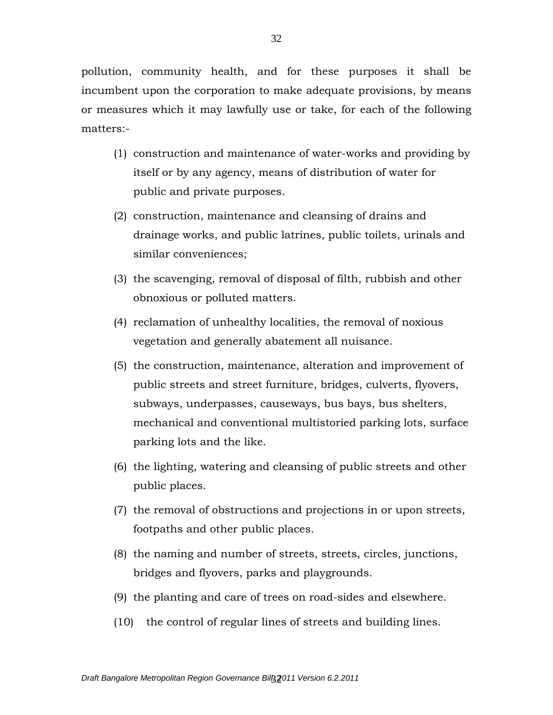pollution, community health, and for these purposes it shall be incumbent upon the corporation to make adequate provisions, by means or measures which it may lawfully use or take, for each of the following matters:-

- (1) construction and maintenance of water-works and providing by itself or by any agency, means of distribution of water for public and private purposes.
- (2) construction, maintenance and cleansing of drains and drainage works, and public latrines, public toilets, urinals and similar conveniences;
- (3) the scavenging, removal of disposal of filth, rubbish and other obnoxious or polluted matters.
- (4) reclamation of unhealthy localities, the removal of noxious vegetation and generally abatement all nuisance.
- (5) the construction, maintenance, alteration and improvement of public streets and street furniture, bridges, culverts, flyovers, subways, underpasses, causeways, bus bays, bus shelters, mechanical and conventional multistoried parking lots, surface parking lots and the like.
- (6) the lighting, watering and cleansing of public streets and other public places.
- (7) the removal of obstructions and projections in or upon streets, footpaths and other public places.
- (8) the naming and number of streets, streets, circles, junctions, bridges and flyovers, parks and playgrounds.
- (9) the planting and care of trees on road-sides and elsewhere.
- (10) the control of regular lines of streets and building lines.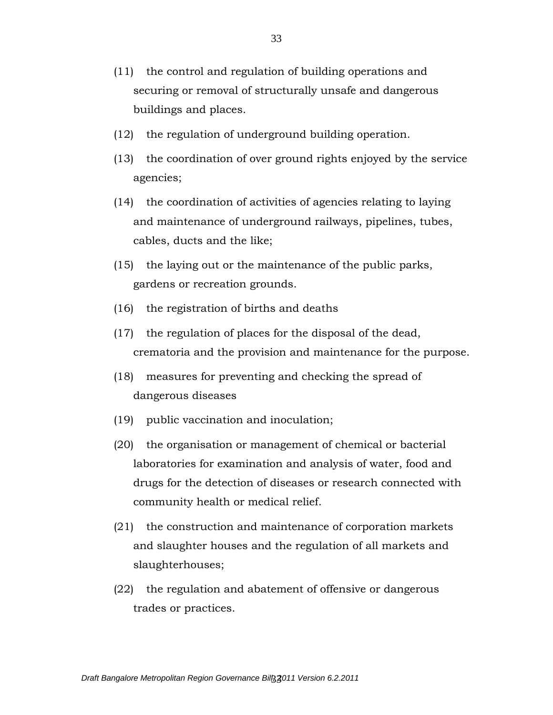- (11) the control and regulation of building operations and securing or removal of structurally unsafe and dangerous buildings and places.
- (12) the regulation of underground building operation.
- (13) the coordination of over ground rights enjoyed by the service agencies;
- (14) the coordination of activities of agencies relating to laying and maintenance of underground railways, pipelines, tubes, cables, ducts and the like;
- (15) the laying out or the maintenance of the public parks, gardens or recreation grounds.
- (16) the registration of births and deaths
- (17) the regulation of places for the disposal of the dead, crematoria and the provision and maintenance for the purpose.
- (18) measures for preventing and checking the spread of dangerous diseases
- (19) public vaccination and inoculation;
- (20) the organisation or management of chemical or bacterial laboratories for examination and analysis of water, food and drugs for the detection of diseases or research connected with community health or medical relief.
- (21) the construction and maintenance of corporation markets and slaughter houses and the regulation of all markets and slaughterhouses;
- (22) the regulation and abatement of offensive or dangerous trades or practices.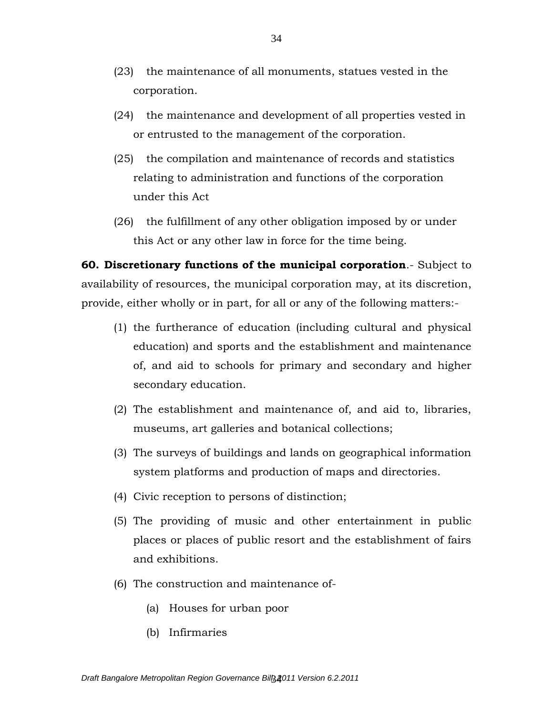- (23) the maintenance of all monuments, statues vested in the corporation.
- (24) the maintenance and development of all properties vested in or entrusted to the management of the corporation.
- (25) the compilation and maintenance of records and statistics relating to administration and functions of the corporation under this Act
- (26) the fulfillment of any other obligation imposed by or under this Act or any other law in force for the time being.

**60. Discretionary functions of the municipal corporation**.- Subject to availability of resources, the municipal corporation may, at its discretion, provide, either wholly or in part, for all or any of the following matters:-

- (1) the furtherance of education (including cultural and physical education) and sports and the establishment and maintenance of, and aid to schools for primary and secondary and higher secondary education.
- (2) The establishment and maintenance of, and aid to, libraries, museums, art galleries and botanical collections;
- (3) The surveys of buildings and lands on geographical information system platforms and production of maps and directories.
- (4) Civic reception to persons of distinction;
- (5) The providing of music and other entertainment in public places or places of public resort and the establishment of fairs and exhibitions.
- (6) The construction and maintenance of-
	- (a) Houses for urban poor
	- (b) Infirmaries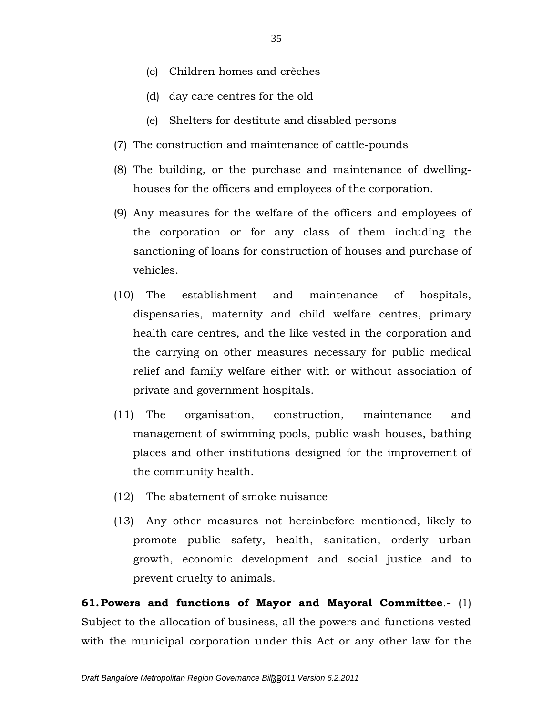- (c) Children homes and crèches
- (d) day care centres for the old
- (e) Shelters for destitute and disabled persons
- (7) The construction and maintenance of cattle-pounds
- (8) The building, or the purchase and maintenance of dwellinghouses for the officers and employees of the corporation.
- (9) Any measures for the welfare of the officers and employees of the corporation or for any class of them including the sanctioning of loans for construction of houses and purchase of vehicles.
- (10) The establishment and maintenance of hospitals, dispensaries, maternity and child welfare centres, primary health care centres, and the like vested in the corporation and the carrying on other measures necessary for public medical relief and family welfare either with or without association of private and government hospitals.
- (11) The organisation, construction, maintenance and management of swimming pools, public wash houses, bathing places and other institutions designed for the improvement of the community health.
- (12) The abatement of smoke nuisance
- (13) Any other measures not hereinbefore mentioned, likely to promote public safety, health, sanitation, orderly urban growth, economic development and social justice and to prevent cruelty to animals.

**61.Powers and functions of Mayor and Mayoral Committee**.- (1) Subject to the allocation of business, all the powers and functions vested with the municipal corporation under this Act or any other law for the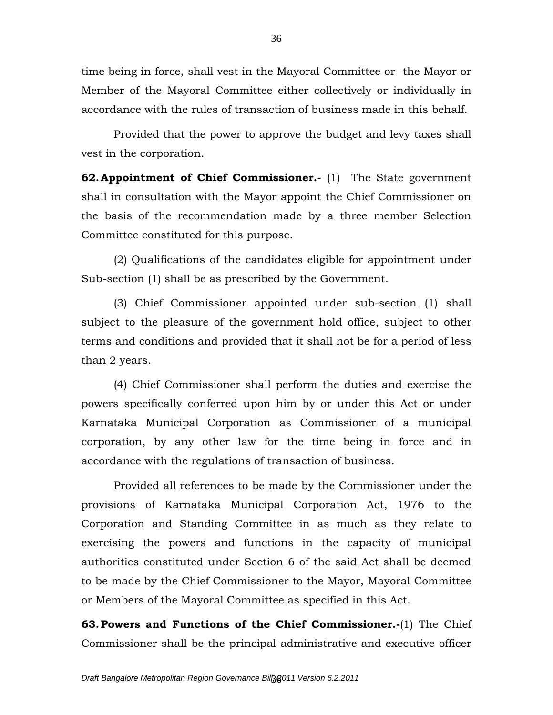time being in force, shall vest in the Mayoral Committee or the Mayor or Member of the Mayoral Committee either collectively or individually in accordance with the rules of transaction of business made in this behalf.

Provided that the power to approve the budget and levy taxes shall vest in the corporation.

**62.Appointment of Chief Commissioner.-** (1) The State government shall in consultation with the Mayor appoint the Chief Commissioner on the basis of the recommendation made by a three member Selection Committee constituted for this purpose.

(2) Qualifications of the candidates eligible for appointment under Sub-section (1) shall be as prescribed by the Government.

(3) Chief Commissioner appointed under sub-section (1) shall subject to the pleasure of the government hold office, subject to other terms and conditions and provided that it shall not be for a period of less than 2 years.

(4) Chief Commissioner shall perform the duties and exercise the powers specifically conferred upon him by or under this Act or under Karnataka Municipal Corporation as Commissioner of a municipal corporation, by any other law for the time being in force and in accordance with the regulations of transaction of business.

Provided all references to be made by the Commissioner under the provisions of Karnataka Municipal Corporation Act, 1976 to the Corporation and Standing Committee in as much as they relate to exercising the powers and functions in the capacity of municipal authorities constituted under Section 6 of the said Act shall be deemed to be made by the Chief Commissioner to the Mayor, Mayoral Committee or Members of the Mayoral Committee as specified in this Act.

**63.Powers and Functions of the Chief Commissioner.-**(1) The Chief Commissioner shall be the principal administrative and executive officer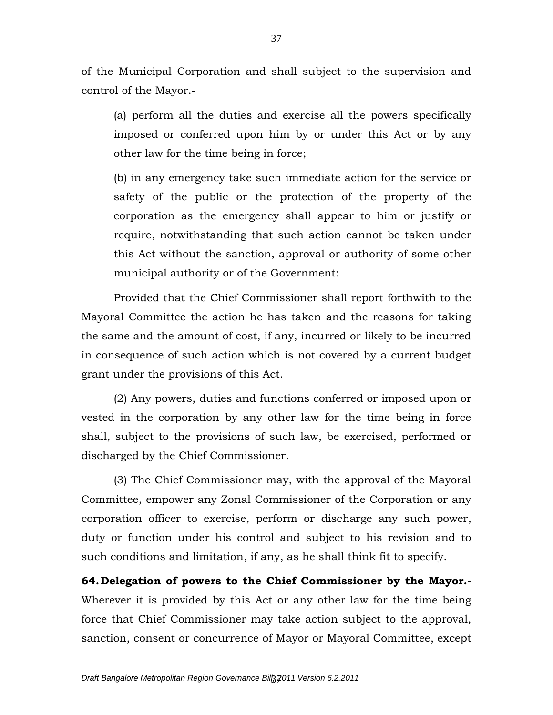of the Municipal Corporation and shall subject to the supervision and control of the Mayor.-

(a) perform all the duties and exercise all the powers specifically imposed or conferred upon him by or under this Act or by any other law for the time being in force;

(b) in any emergency take such immediate action for the service or safety of the public or the protection of the property of the corporation as the emergency shall appear to him or justify or require, notwithstanding that such action cannot be taken under this Act without the sanction, approval or authority of some other municipal authority or of the Government:

Provided that the Chief Commissioner shall report forthwith to the Mayoral Committee the action he has taken and the reasons for taking the same and the amount of cost, if any, incurred or likely to be incurred in consequence of such action which is not covered by a current budget grant under the provisions of this Act.

(2) Any powers, duties and functions conferred or imposed upon or vested in the corporation by any other law for the time being in force shall, subject to the provisions of such law, be exercised, performed or discharged by the Chief Commissioner.

(3) The Chief Commissioner may, with the approval of the Mayoral Committee, empower any Zonal Commissioner of the Corporation or any corporation officer to exercise, perform or discharge any such power, duty or function under his control and subject to his revision and to such conditions and limitation, if any, as he shall think fit to specify.

**64.Delegation of powers to the Chief Commissioner by the Mayor.-** Wherever it is provided by this Act or any other law for the time being force that Chief Commissioner may take action subject to the approval, sanction, consent or concurrence of Mayor or Mayoral Committee, except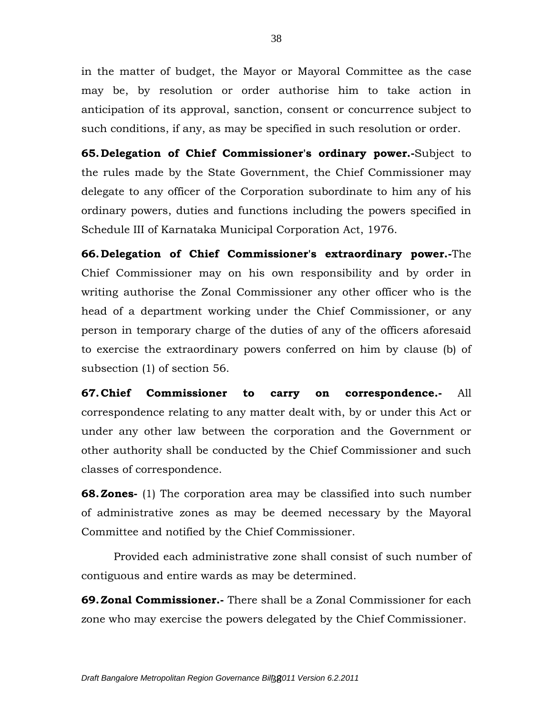in the matter of budget, the Mayor or Mayoral Committee as the case may be, by resolution or order authorise him to take action in anticipation of its approval, sanction, consent or concurrence subject to such conditions, if any, as may be specified in such resolution or order.

**65.Delegation of Chief Commissioner's ordinary power.-**Subject to the rules made by the State Government, the Chief Commissioner may delegate to any officer of the Corporation subordinate to him any of his ordinary powers, duties and functions including the powers specified in Schedule III of Karnataka Municipal Corporation Act, 1976.

**66.Delegation of Chief Commissioner's extraordinary power.-**The Chief Commissioner may on his own responsibility and by order in writing authorise the Zonal Commissioner any other officer who is the head of a department working under the Chief Commissioner, or any person in temporary charge of the duties of any of the officers aforesaid to exercise the extraordinary powers conferred on him by clause (b) of subsection (1) of section 56.

**67.Chief Commissioner to carry on correspondence.-** All correspondence relating to any matter dealt with, by or under this Act or under any other law between the corporation and the Government or other authority shall be conducted by the Chief Commissioner and such classes of correspondence.

**68.Zones-** (1) The corporation area may be classified into such number of administrative zones as may be deemed necessary by the Mayoral Committee and notified by the Chief Commissioner.

Provided each administrative zone shall consist of such number of contiguous and entire wards as may be determined.

**69.Zonal Commissioner.-** There shall be a Zonal Commissioner for each zone who may exercise the powers delegated by the Chief Commissioner.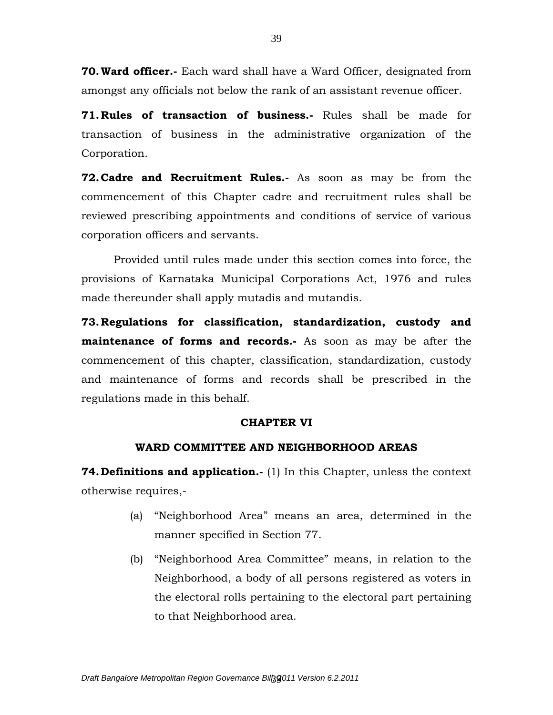**70.Ward officer.-** Each ward shall have a Ward Officer, designated from amongst any officials not below the rank of an assistant revenue officer.

**71.Rules of transaction of business.-** Rules shall be made for transaction of business in the administrative organization of the Corporation.

**72.Cadre and Recruitment Rules.-** As soon as may be from the commencement of this Chapter cadre and recruitment rules shall be reviewed prescribing appointments and conditions of service of various corporation officers and servants.

Provided until rules made under this section comes into force, the provisions of Karnataka Municipal Corporations Act, 1976 and rules made thereunder shall apply mutadis and mutandis.

**73.Regulations for classification, standardization, custody and maintenance of forms and records.-** As soon as may be after the commencement of this chapter, classification, standardization, custody and maintenance of forms and records shall be prescribed in the regulations made in this behalf.

## **CHAPTER VI**

# **WARD COMMITTEE AND NEIGHBORHOOD AREAS**

**74.Definitions and application.-** (1) In this Chapter, unless the context otherwise requires,-

- (a) "Neighborhood Area" means an area, determined in the manner specified in Section 77.
- (b) "Neighborhood Area Committee" means, in relation to the Neighborhood, a body of all persons registered as voters in the electoral rolls pertaining to the electoral part pertaining to that Neighborhood area.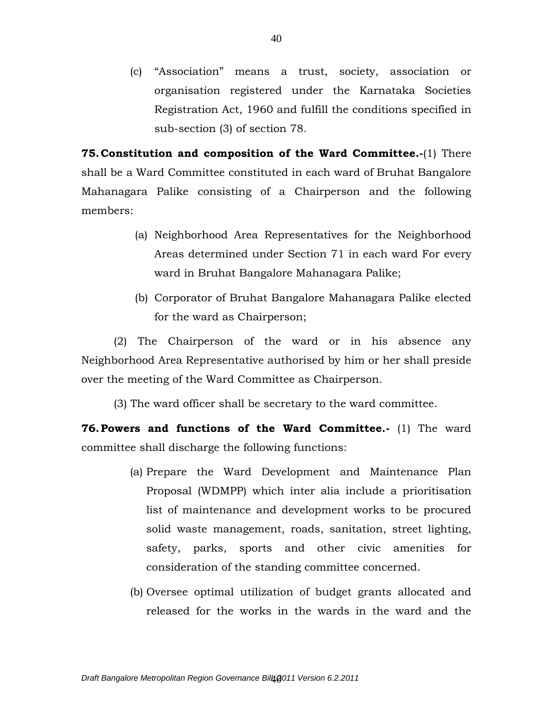(c) "Association" means a trust, society, association or organisation registered under the Karnataka Societies Registration Act, 1960 and fulfill the conditions specified in sub-section (3) of section 78.

**75.Constitution and composition of the Ward Committee.-**(1) There shall be a Ward Committee constituted in each ward of Bruhat Bangalore Mahanagara Palike consisting of a Chairperson and the following members:

- (a) Neighborhood Area Representatives for the Neighborhood Areas determined under Section 71 in each ward For every ward in Bruhat Bangalore Mahanagara Palike;
- (b) Corporator of Bruhat Bangalore Mahanagara Palike elected for the ward as Chairperson;

(2) The Chairperson of the ward or in his absence any Neighborhood Area Representative authorised by him or her shall preside over the meeting of the Ward Committee as Chairperson.

(3) The ward officer shall be secretary to the ward committee.

**76.Powers and functions of the Ward Committee.-** (1) The ward committee shall discharge the following functions:

- (a) Prepare the Ward Development and Maintenance Plan Proposal (WDMPP) which inter alia include a prioritisation list of maintenance and development works to be procured solid waste management, roads, sanitation, street lighting, safety, parks, sports and other civic amenities for consideration of the standing committee concerned.
- (b) Oversee optimal utilization of budget grants allocated and released for the works in the wards in the ward and the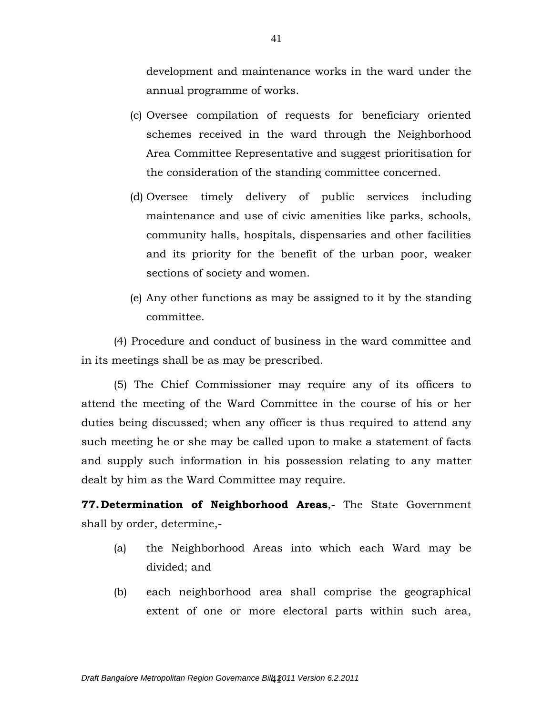development and maintenance works in the ward under the annual programme of works.

- (c) Oversee compilation of requests for beneficiary oriented schemes received in the ward through the Neighborhood Area Committee Representative and suggest prioritisation for the consideration of the standing committee concerned.
- (d) Oversee timely delivery of public services including maintenance and use of civic amenities like parks, schools, community halls, hospitals, dispensaries and other facilities and its priority for the benefit of the urban poor, weaker sections of society and women.
- (e) Any other functions as may be assigned to it by the standing committee.

(4) Procedure and conduct of business in the ward committee and in its meetings shall be as may be prescribed.

(5) The Chief Commissioner may require any of its officers to attend the meeting of the Ward Committee in the course of his or her duties being discussed; when any officer is thus required to attend any such meeting he or she may be called upon to make a statement of facts and supply such information in his possession relating to any matter dealt by him as the Ward Committee may require.

**77.Determination of Neighborhood Areas**,- The State Government shall by order, determine,-

- (a) the Neighborhood Areas into which each Ward may be divided; and
- (b) each neighborhood area shall comprise the geographical extent of one or more electoral parts within such area,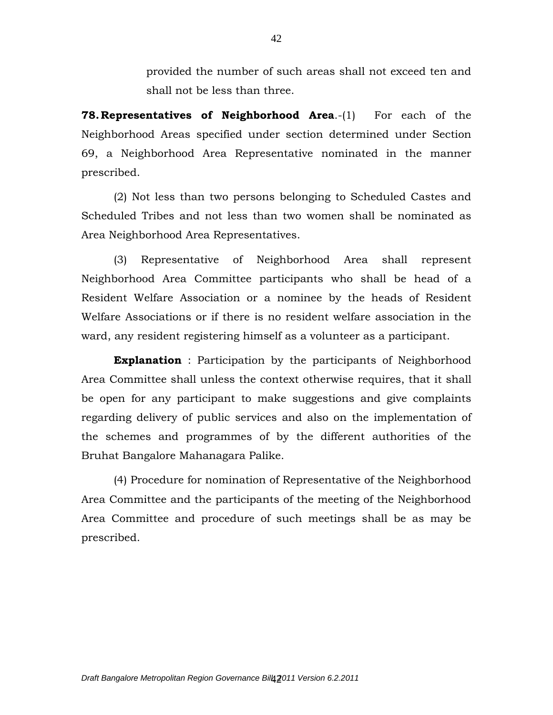provided the number of such areas shall not exceed ten and shall not be less than three.

**78. Representatives of Neighborhood Area.**-(1) For each of the Neighborhood Areas specified under section determined under Section 69, a Neighborhood Area Representative nominated in the manner prescribed.

(2) Not less than two persons belonging to Scheduled Castes and Scheduled Tribes and not less than two women shall be nominated as Area Neighborhood Area Representatives.

 (3) Representative of Neighborhood Area shall represent Neighborhood Area Committee participants who shall be head of a Resident Welfare Association or a nominee by the heads of Resident Welfare Associations or if there is no resident welfare association in the ward, any resident registering himself as a volunteer as a participant.

**Explanation** : Participation by the participants of Neighborhood Area Committee shall unless the context otherwise requires, that it shall be open for any participant to make suggestions and give complaints regarding delivery of public services and also on the implementation of the schemes and programmes of by the different authorities of the Bruhat Bangalore Mahanagara Palike.

(4) Procedure for nomination of Representative of the Neighborhood Area Committee and the participants of the meeting of the Neighborhood Area Committee and procedure of such meetings shall be as may be prescribed.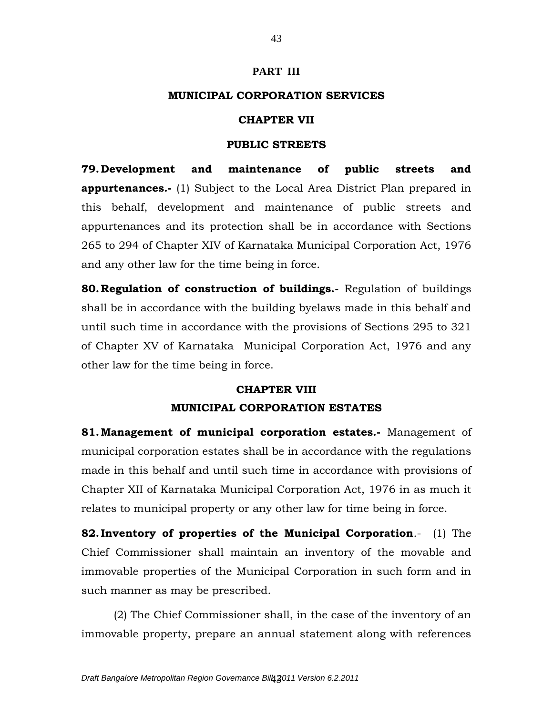## **PART III**

# **MUNICIPAL CORPORATION SERVICES**

# **CHAPTER VII**

## **PUBLIC STREETS**

**79.Development and maintenance of public streets and appurtenances.-** (1) Subject to the Local Area District Plan prepared in this behalf, development and maintenance of public streets and appurtenances and its protection shall be in accordance with Sections 265 to 294 of Chapter XIV of Karnataka Municipal Corporation Act, 1976 and any other law for the time being in force.

**80.Regulation of construction of buildings.-** Regulation of buildings shall be in accordance with the building byelaws made in this behalf and until such time in accordance with the provisions of Sections 295 to 321 of Chapter XV of Karnataka Municipal Corporation Act, 1976 and any other law for the time being in force.

## **CHAPTER VIII**

# **MUNICIPAL CORPORATION ESTATES**

**81.Management of municipal corporation estates.-** Management of municipal corporation estates shall be in accordance with the regulations made in this behalf and until such time in accordance with provisions of Chapter XII of Karnataka Municipal Corporation Act, 1976 in as much it relates to municipal property or any other law for time being in force.

**82. Inventory of properties of the Municipal Corporation**.- (1) The Chief Commissioner shall maintain an inventory of the movable and immovable properties of the Municipal Corporation in such form and in such manner as may be prescribed.

(2) The Chief Commissioner shall, in the case of the inventory of an immovable property, prepare an annual statement along with references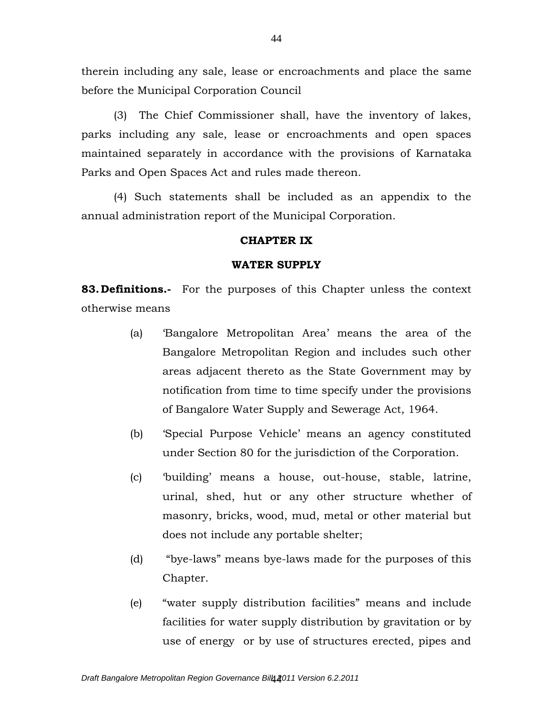therein including any sale, lease or encroachments and place the same before the Municipal Corporation Council

(3) The Chief Commissioner shall, have the inventory of lakes, parks including any sale, lease or encroachments and open spaces maintained separately in accordance with the provisions of Karnataka Parks and Open Spaces Act and rules made thereon.

(4) Such statements shall be included as an appendix to the annual administration report of the Municipal Corporation.

#### **CHAPTER IX**

#### **WATER SUPPLY**

**83.Definitions.-** For the purposes of this Chapter unless the context otherwise means

- (a) 'Bangalore Metropolitan Area' means the area of the Bangalore Metropolitan Region and includes such other areas adjacent thereto as the State Government may by notification from time to time specify under the provisions of Bangalore Water Supply and Sewerage Act, 1964.
- (b) 'Special Purpose Vehicle' means an agency constituted under Section 80 for the jurisdiction of the Corporation.
- (c) 'building' means a house, out-house, stable, latrine, urinal, shed, hut or any other structure whether of masonry, bricks, wood, mud, metal or other material but does not include any portable shelter;
- (d) "bye-laws" means bye-laws made for the purposes of this Chapter.
- (e) "water supply distribution facilities" means and include facilities for water supply distribution by gravitation or by use of energy or by use of structures erected, pipes and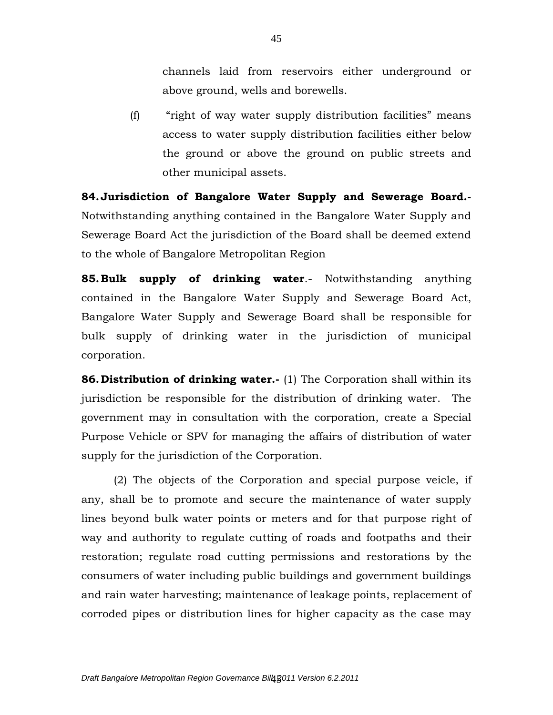channels laid from reservoirs either underground or above ground, wells and borewells.

(f) "right of way water supply distribution facilities" means access to water supply distribution facilities either below the ground or above the ground on public streets and other municipal assets.

**84.Jurisdiction of Bangalore Water Supply and Sewerage Board.-** Notwithstanding anything contained in the Bangalore Water Supply and Sewerage Board Act the jurisdiction of the Board shall be deemed extend to the whole of Bangalore Metropolitan Region

**85.Bulk supply of drinking water**.- Notwithstanding anything contained in the Bangalore Water Supply and Sewerage Board Act, Bangalore Water Supply and Sewerage Board shall be responsible for bulk supply of drinking water in the jurisdiction of municipal corporation.

**86. Distribution of drinking water.**- (1) The Corporation shall within its jurisdiction be responsible for the distribution of drinking water. The government may in consultation with the corporation, create a Special Purpose Vehicle or SPV for managing the affairs of distribution of water supply for the jurisdiction of the Corporation.

(2) The objects of the Corporation and special purpose veicle, if any, shall be to promote and secure the maintenance of water supply lines beyond bulk water points or meters and for that purpose right of way and authority to regulate cutting of roads and footpaths and their restoration; regulate road cutting permissions and restorations by the consumers of water including public buildings and government buildings and rain water harvesting; maintenance of leakage points, replacement of corroded pipes or distribution lines for higher capacity as the case may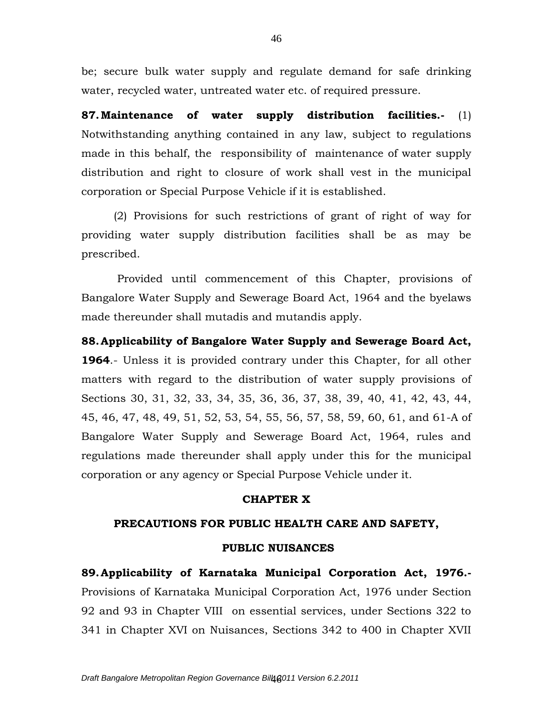be; secure bulk water supply and regulate demand for safe drinking water, recycled water, untreated water etc. of required pressure.

**87.Maintenance of water supply distribution facilities.-** (1) Notwithstanding anything contained in any law, subject to regulations made in this behalf, the responsibility of maintenance of water supply distribution and right to closure of work shall vest in the municipal corporation or Special Purpose Vehicle if it is established.

(2) Provisions for such restrictions of grant of right of way for providing water supply distribution facilities shall be as may be prescribed.

Provided until commencement of this Chapter, provisions of Bangalore Water Supply and Sewerage Board Act, 1964 and the byelaws made thereunder shall mutadis and mutandis apply.

**88.Applicability of Bangalore Water Supply and Sewerage Board Act, 1964**.- Unless it is provided contrary under this Chapter, for all other matters with regard to the distribution of water supply provisions of Sections 30, 31, 32, 33, 34, 35, 36, 36, 37, 38, 39, 40, 41, 42, 43, 44, 45, 46, 47, 48, 49, 51, 52, 53, 54, 55, 56, 57, 58, 59, 60, 61, and 61-A of Bangalore Water Supply and Sewerage Board Act, 1964, rules and regulations made thereunder shall apply under this for the municipal corporation or any agency or Special Purpose Vehicle under it.

## **CHAPTER X**

## **PRECAUTIONS FOR PUBLIC HEALTH CARE AND SAFETY,**

## **PUBLIC NUISANCES**

**89.Applicability of Karnataka Municipal Corporation Act, 1976.-** Provisions of Karnataka Municipal Corporation Act, 1976 under Section 92 and 93 in Chapter VIII on essential services, under Sections 322 to 341 in Chapter XVI on Nuisances, Sections 342 to 400 in Chapter XVII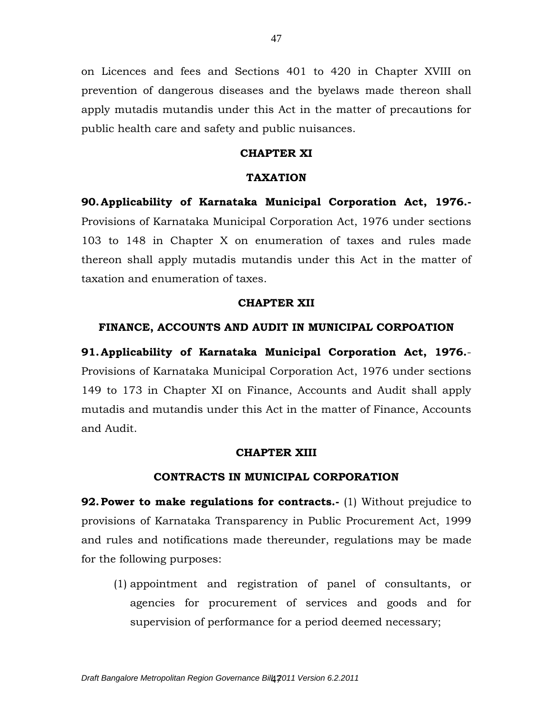on Licences and fees and Sections 401 to 420 in Chapter XVIII on prevention of dangerous diseases and the byelaws made thereon shall apply mutadis mutandis under this Act in the matter of precautions for public health care and safety and public nuisances.

## **CHAPTER XI**

#### **TAXATION**

**90.Applicability of Karnataka Municipal Corporation Act, 1976.-** Provisions of Karnataka Municipal Corporation Act, 1976 under sections 103 to 148 in Chapter X on enumeration of taxes and rules made thereon shall apply mutadis mutandis under this Act in the matter of taxation and enumeration of taxes.

#### **CHAPTER XII**

# **FINANCE, ACCOUNTS AND AUDIT IN MUNICIPAL CORPOATION**

**91.Applicability of Karnataka Municipal Corporation Act, 1976.**- Provisions of Karnataka Municipal Corporation Act, 1976 under sections 149 to 173 in Chapter XI on Finance, Accounts and Audit shall apply mutadis and mutandis under this Act in the matter of Finance, Accounts and Audit.

#### **CHAPTER XIII**

## **CONTRACTS IN MUNICIPAL CORPORATION**

**92. Power to make regulations for contracts.**- (1) Without prejudice to provisions of Karnataka Transparency in Public Procurement Act, 1999 and rules and notifications made thereunder, regulations may be made for the following purposes:

(1) appointment and registration of panel of consultants, or agencies for procurement of services and goods and for supervision of performance for a period deemed necessary;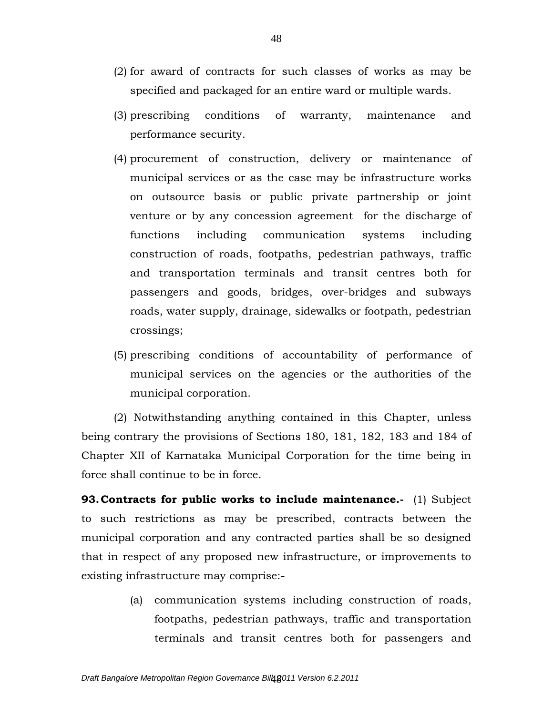- (2) for award of contracts for such classes of works as may be specified and packaged for an entire ward or multiple wards.
- (3) prescribing conditions of warranty, maintenance and performance security.
- (4) procurement of construction, delivery or maintenance of municipal services or as the case may be infrastructure works on outsource basis or public private partnership or joint venture or by any concession agreement for the discharge of functions including communication systems including construction of roads, footpaths, pedestrian pathways, traffic and transportation terminals and transit centres both for passengers and goods, bridges, over-bridges and subways roads, water supply, drainage, sidewalks or footpath, pedestrian crossings;
- (5) prescribing conditions of accountability of performance of municipal services on the agencies or the authorities of the municipal corporation.

(2) Notwithstanding anything contained in this Chapter, unless being contrary the provisions of Sections 180, 181, 182, 183 and 184 of Chapter XII of Karnataka Municipal Corporation for the time being in force shall continue to be in force.

**93. Contracts for public works to include maintenance.**- (1) Subject to such restrictions as may be prescribed, contracts between the municipal corporation and any contracted parties shall be so designed that in respect of any proposed new infrastructure, or improvements to existing infrastructure may comprise:-

> (a) communication systems including construction of roads, footpaths, pedestrian pathways, traffic and transportation terminals and transit centres both for passengers and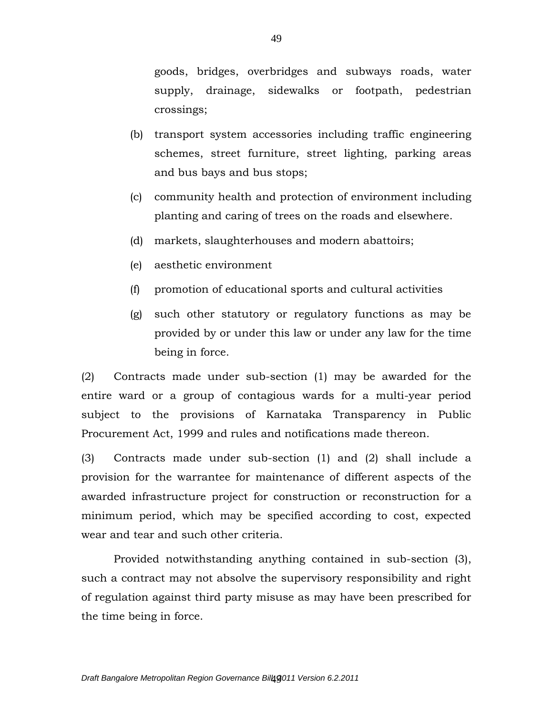goods, bridges, overbridges and subways roads, water supply, drainage, sidewalks or footpath, pedestrian crossings;

- (b) transport system accessories including traffic engineering schemes, street furniture, street lighting, parking areas and bus bays and bus stops;
- (c) community health and protection of environment including planting and caring of trees on the roads and elsewhere.
- (d) markets, slaughterhouses and modern abattoirs;
- (e) aesthetic environment
- (f) promotion of educational sports and cultural activities
- (g) such other statutory or regulatory functions as may be provided by or under this law or under any law for the time being in force.

(2) Contracts made under sub-section (1) may be awarded for the entire ward or a group of contagious wards for a multi-year period subject to the provisions of Karnataka Transparency in Public Procurement Act, 1999 and rules and notifications made thereon.

(3) Contracts made under sub-section (1) and (2) shall include a provision for the warrantee for maintenance of different aspects of the awarded infrastructure project for construction or reconstruction for a minimum period, which may be specified according to cost, expected wear and tear and such other criteria.

Provided notwithstanding anything contained in sub-section (3), such a contract may not absolve the supervisory responsibility and right of regulation against third party misuse as may have been prescribed for the time being in force.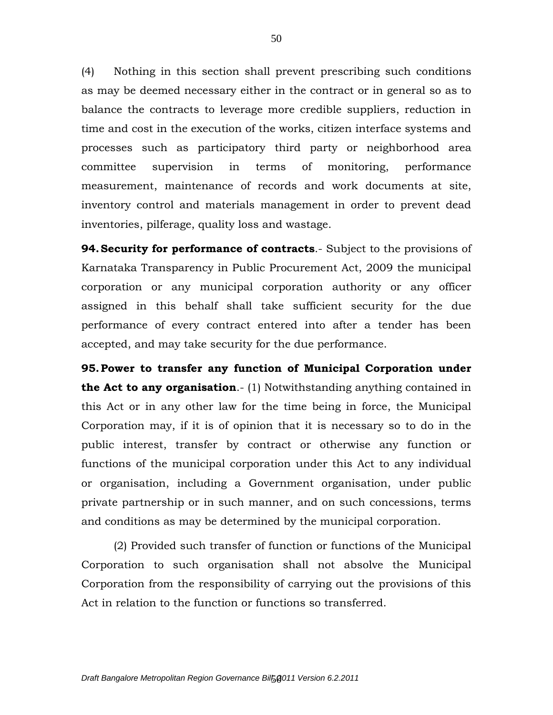(4) Nothing in this section shall prevent prescribing such conditions as may be deemed necessary either in the contract or in general so as to balance the contracts to leverage more credible suppliers, reduction in time and cost in the execution of the works, citizen interface systems and processes such as participatory third party or neighborhood area committee supervision in terms of monitoring, performance measurement, maintenance of records and work documents at site, inventory control and materials management in order to prevent dead inventories, pilferage, quality loss and wastage.

**94.Security for performance of contracts**.- Subject to the provisions of Karnataka Transparency in Public Procurement Act, 2009 the municipal corporation or any municipal corporation authority or any officer assigned in this behalf shall take sufficient security for the due performance of every contract entered into after a tender has been accepted, and may take security for the due performance.

**95.Power to transfer any function of Municipal Corporation under the Act to any organisation**.- (1) Notwithstanding anything contained in this Act or in any other law for the time being in force, the Municipal Corporation may, if it is of opinion that it is necessary so to do in the public interest, transfer by contract or otherwise any function or functions of the municipal corporation under this Act to any individual or organisation, including a Government organisation, under public private partnership or in such manner, and on such concessions, terms and conditions as may be determined by the municipal corporation.

(2) Provided such transfer of function or functions of the Municipal Corporation to such organisation shall not absolve the Municipal Corporation from the responsibility of carrying out the provisions of this Act in relation to the function or functions so transferred.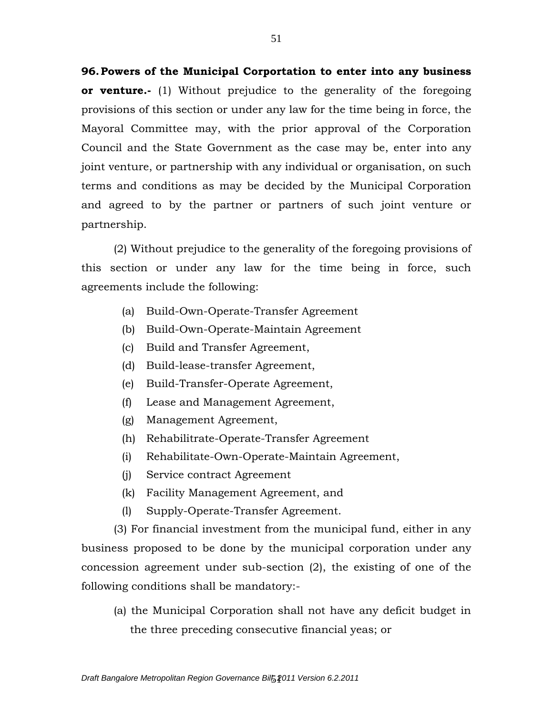**96.Powers of the Municipal Corportation to enter into any business or venture.-** (1) Without prejudice to the generality of the foregoing provisions of this section or under any law for the time being in force, the Mayoral Committee may, with the prior approval of the Corporation Council and the State Government as the case may be, enter into any joint venture, or partnership with any individual or organisation, on such terms and conditions as may be decided by the Municipal Corporation and agreed to by the partner or partners of such joint venture or partnership.

(2) Without prejudice to the generality of the foregoing provisions of this section or under any law for the time being in force, such agreements include the following:

- (a) Build-Own-Operate-Transfer Agreement
- (b) Build-Own-Operate-Maintain Agreement
- (c) Build and Transfer Agreement,
- (d) Build-lease-transfer Agreement,
- (e) Build-Transfer-Operate Agreement,
- (f) Lease and Management Agreement,
- (g) Management Agreement,
- (h) Rehabilitrate-Operate-Transfer Agreement
- (i) Rehabilitate-Own-Operate-Maintain Agreement,
- (j) Service contract Agreement
- (k) Facility Management Agreement, and
- (l) Supply-Operate-Transfer Agreement.

(3) For financial investment from the municipal fund, either in any business proposed to be done by the municipal corporation under any concession agreement under sub-section (2), the existing of one of the following conditions shall be mandatory:-

(a) the Municipal Corporation shall not have any deficit budget in the three preceding consecutive financial yeas; or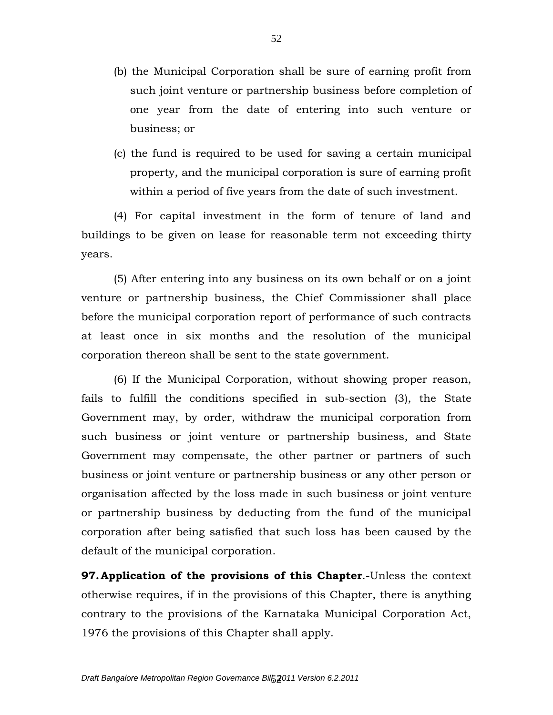- (b) the Municipal Corporation shall be sure of earning profit from such joint venture or partnership business before completion of one year from the date of entering into such venture or business; or
- (c) the fund is required to be used for saving a certain municipal property, and the municipal corporation is sure of earning profit within a period of five years from the date of such investment.

(4) For capital investment in the form of tenure of land and buildings to be given on lease for reasonable term not exceeding thirty years.

(5) After entering into any business on its own behalf or on a joint venture or partnership business, the Chief Commissioner shall place before the municipal corporation report of performance of such contracts at least once in six months and the resolution of the municipal corporation thereon shall be sent to the state government.

(6) If the Municipal Corporation, without showing proper reason, fails to fulfill the conditions specified in sub-section (3), the State Government may, by order, withdraw the municipal corporation from such business or joint venture or partnership business, and State Government may compensate, the other partner or partners of such business or joint venture or partnership business or any other person or organisation affected by the loss made in such business or joint venture or partnership business by deducting from the fund of the municipal corporation after being satisfied that such loss has been caused by the default of the municipal corporation.

**97.Application of the provisions of this Chapter**.-Unless the context otherwise requires, if in the provisions of this Chapter, there is anything contrary to the provisions of the Karnataka Municipal Corporation Act, 1976 the provisions of this Chapter shall apply.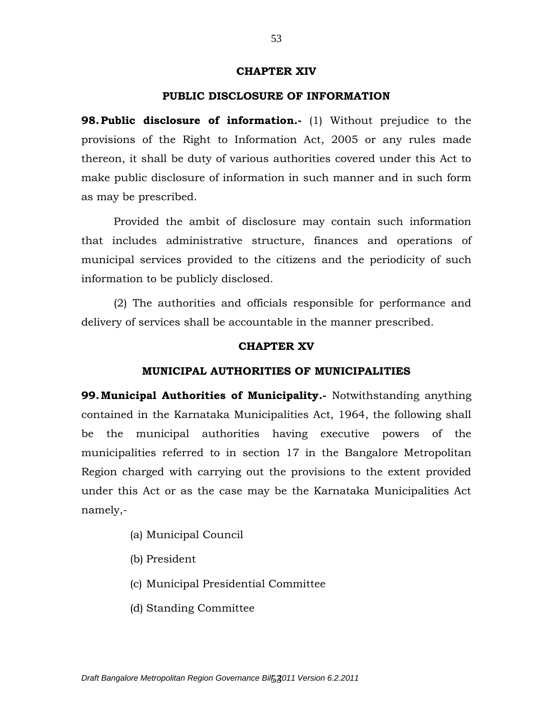#### **CHAPTER XIV**

## **PUBLIC DISCLOSURE OF INFORMATION**

**98. Public disclosure of information.**- (1) Without prejudice to the provisions of the Right to Information Act, 2005 or any rules made thereon, it shall be duty of various authorities covered under this Act to make public disclosure of information in such manner and in such form as may be prescribed.

Provided the ambit of disclosure may contain such information that includes administrative structure, finances and operations of municipal services provided to the citizens and the periodicity of such information to be publicly disclosed.

(2) The authorities and officials responsible for performance and delivery of services shall be accountable in the manner prescribed.

#### **CHAPTER XV**

## **MUNICIPAL AUTHORITIES OF MUNICIPALITIES**

**99.Municipal Authorities of Municipality.-** Notwithstanding anything contained in the Karnataka Municipalities Act, 1964, the following shall be the municipal authorities having executive powers of the municipalities referred to in section 17 in the Bangalore Metropolitan Region charged with carrying out the provisions to the extent provided under this Act or as the case may be the Karnataka Municipalities Act namely,-

- (a) Municipal Council
- (b) President
- (c) Municipal Presidential Committee
- (d) Standing Committee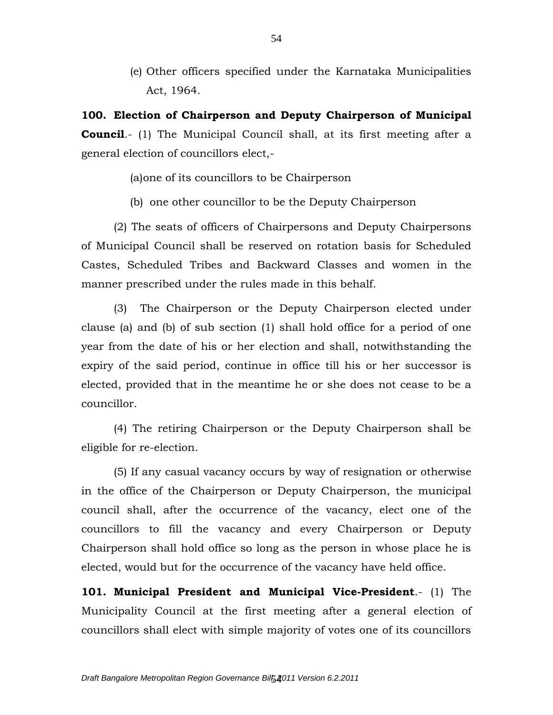(e) Other officers specified under the Karnataka Municipalities Act, 1964.

**100. Election of Chairperson and Deputy Chairperson of Municipal Council.**- (1) The Municipal Council shall, at its first meeting after a general election of councillors elect,-

(a)one of its councillors to be Chairperson

(b) one other councillor to be the Deputy Chairperson

(2) The seats of officers of Chairpersons and Deputy Chairpersons of Municipal Council shall be reserved on rotation basis for Scheduled Castes, Scheduled Tribes and Backward Classes and women in the manner prescribed under the rules made in this behalf.

(3) The Chairperson or the Deputy Chairperson elected under clause (a) and (b) of sub section (1) shall hold office for a period of one year from the date of his or her election and shall, notwithstanding the expiry of the said period, continue in office till his or her successor is elected, provided that in the meantime he or she does not cease to be a councillor.

(4) The retiring Chairperson or the Deputy Chairperson shall be eligible for re-election.

(5) If any casual vacancy occurs by way of resignation or otherwise in the office of the Chairperson or Deputy Chairperson, the municipal council shall, after the occurrence of the vacancy, elect one of the councillors to fill the vacancy and every Chairperson or Deputy Chairperson shall hold office so long as the person in whose place he is elected, would but for the occurrence of the vacancy have held office.

**101. Municipal President and Municipal Vice-President**.- (1) The Municipality Council at the first meeting after a general election of councillors shall elect with simple majority of votes one of its councillors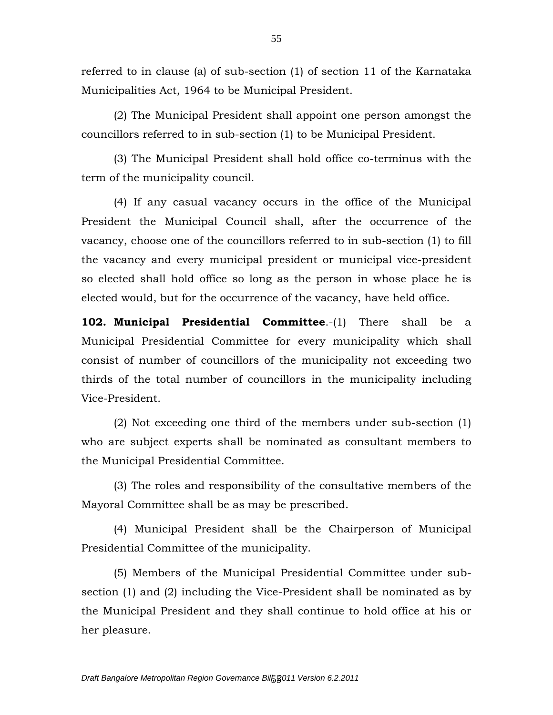referred to in clause (a) of sub-section (1) of section 11 of the Karnataka Municipalities Act, 1964 to be Municipal President.

(2) The Municipal President shall appoint one person amongst the councillors referred to in sub-section (1) to be Municipal President.

(3) The Municipal President shall hold office co-terminus with the term of the municipality council.

(4) If any casual vacancy occurs in the office of the Municipal President the Municipal Council shall, after the occurrence of the vacancy, choose one of the councillors referred to in sub-section (1) to fill the vacancy and every municipal president or municipal vice-president so elected shall hold office so long as the person in whose place he is elected would, but for the occurrence of the vacancy, have held office.

**102. Municipal Presidential Committee**.-(1) There shall be a Municipal Presidential Committee for every municipality which shall consist of number of councillors of the municipality not exceeding two thirds of the total number of councillors in the municipality including Vice-President.

(2) Not exceeding one third of the members under sub-section (1) who are subject experts shall be nominated as consultant members to the Municipal Presidential Committee.

(3) The roles and responsibility of the consultative members of the Mayoral Committee shall be as may be prescribed.

(4) Municipal President shall be the Chairperson of Municipal Presidential Committee of the municipality.

(5) Members of the Municipal Presidential Committee under subsection (1) and (2) including the Vice-President shall be nominated as by the Municipal President and they shall continue to hold office at his or her pleasure.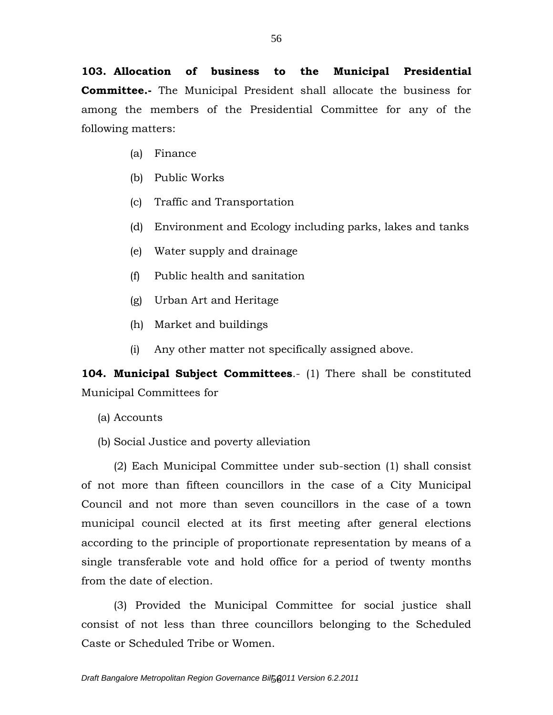**103. Allocation of business to the Municipal Presidential Committee.-** The Municipal President shall allocate the business for among the members of the Presidential Committee for any of the following matters:

- (a) Finance
- (b) Public Works
- (c) Traffic and Transportation
- (d) Environment and Ecology including parks, lakes and tanks
- (e) Water supply and drainage
- (f) Public health and sanitation
- (g) Urban Art and Heritage
- (h) Market and buildings
- (i) Any other matter not specifically assigned above.

**104. Municipal Subject Committees**.- (1) There shall be constituted Municipal Committees for

- (a) Accounts
- (b) Social Justice and poverty alleviation

(2) Each Municipal Committee under sub-section (1) shall consist of not more than fifteen councillors in the case of a City Municipal Council and not more than seven councillors in the case of a town municipal council elected at its first meeting after general elections according to the principle of proportionate representation by means of a single transferable vote and hold office for a period of twenty months from the date of election.

(3) Provided the Municipal Committee for social justice shall consist of not less than three councillors belonging to the Scheduled Caste or Scheduled Tribe or Women.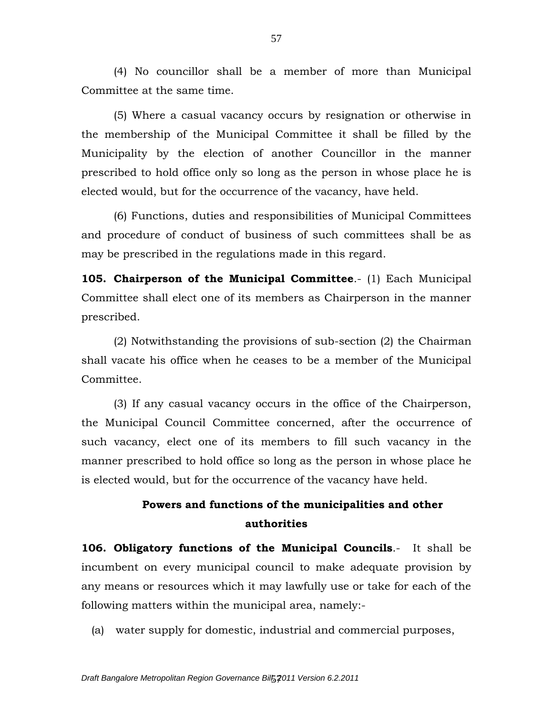(4) No councillor shall be a member of more than Municipal Committee at the same time.

(5) Where a casual vacancy occurs by resignation or otherwise in the membership of the Municipal Committee it shall be filled by the Municipality by the election of another Councillor in the manner prescribed to hold office only so long as the person in whose place he is elected would, but for the occurrence of the vacancy, have held.

(6) Functions, duties and responsibilities of Municipal Committees and procedure of conduct of business of such committees shall be as may be prescribed in the regulations made in this regard.

**105. Chairperson of the Municipal Committee**.- (1) Each Municipal Committee shall elect one of its members as Chairperson in the manner prescribed.

(2) Notwithstanding the provisions of sub-section (2) the Chairman shall vacate his office when he ceases to be a member of the Municipal Committee.

(3) If any casual vacancy occurs in the office of the Chairperson, the Municipal Council Committee concerned, after the occurrence of such vacancy, elect one of its members to fill such vacancy in the manner prescribed to hold office so long as the person in whose place he is elected would, but for the occurrence of the vacancy have held.

# **Powers and functions of the municipalities and other authorities**

**106. Obligatory functions of the Municipal Councils**.- It shall be incumbent on every municipal council to make adequate provision by any means or resources which it may lawfully use or take for each of the following matters within the municipal area, namely:-

(a) water supply for domestic, industrial and commercial purposes,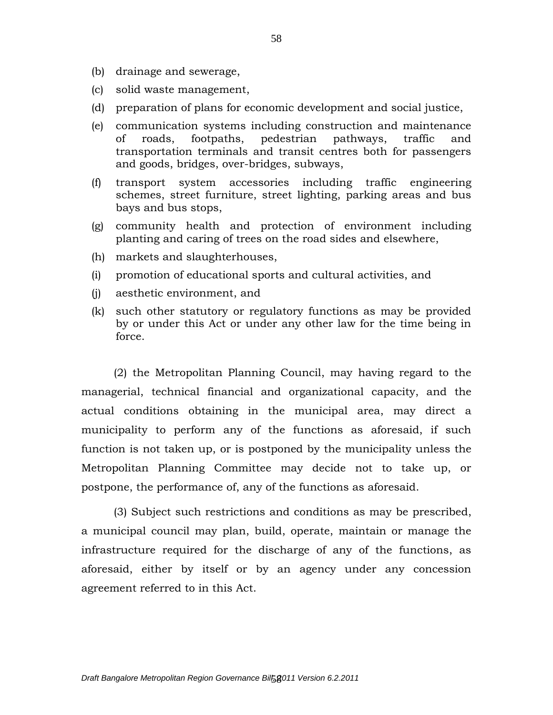- (b) drainage and sewerage,
- (c) solid waste management,
- (d) preparation of plans for economic development and social justice,
- (e) communication systems including construction and maintenance of roads, footpaths, pedestrian pathways, traffic and transportation terminals and transit centres both for passengers and goods, bridges, over-bridges, subways,
- (f) transport system accessories including traffic engineering schemes, street furniture, street lighting, parking areas and bus bays and bus stops,
- (g) community health and protection of environment including planting and caring of trees on the road sides and elsewhere,
- (h) markets and slaughterhouses,
- (i) promotion of educational sports and cultural activities, and
- (j) aesthetic environment, and
- (k) such other statutory or regulatory functions as may be provided by or under this Act or under any other law for the time being in force.

(2) the Metropolitan Planning Council, may having regard to the managerial, technical financial and organizational capacity, and the actual conditions obtaining in the municipal area, may direct a municipality to perform any of the functions as aforesaid, if such function is not taken up, or is postponed by the municipality unless the Metropolitan Planning Committee may decide not to take up, or postpone, the performance of, any of the functions as aforesaid.

(3) Subject such restrictions and conditions as may be prescribed, a municipal council may plan, build, operate, maintain or manage the infrastructure required for the discharge of any of the functions, as aforesaid, either by itself or by an agency under any concession agreement referred to in this Act.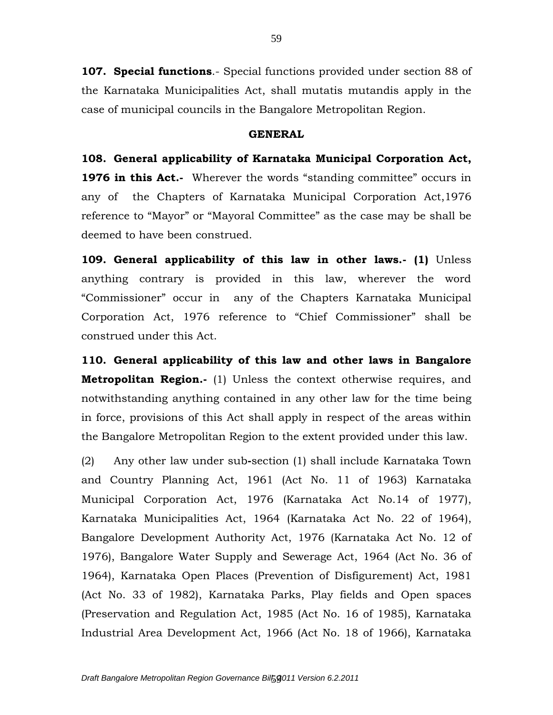**107. Special functions**.- Special functions provided under section 88 of the Karnataka Municipalities Act, shall mutatis mutandis apply in the case of municipal councils in the Bangalore Metropolitan Region.

## **GENERAL**

**108. General applicability of Karnataka Municipal Corporation Act, 1976 in this Act.**- Wherever the words "standing committee" occurs in any of the Chapters of Karnataka Municipal Corporation Act,1976 reference to "Mayor" or "Mayoral Committee" as the case may be shall be deemed to have been construed.

**109. General applicability of this law in other laws.- (1)** Unless anything contrary is provided in this law, wherever the word "Commissioner" occur in any of the Chapters Karnataka Municipal Corporation Act, 1976 reference to "Chief Commissioner" shall be construed under this Act.

**110. General applicability of this law and other laws in Bangalore Metropolitan Region.-** (1) Unless the context otherwise requires, and notwithstanding anything contained in any other law for the time being in force, provisions of this Act shall apply in respect of the areas within the Bangalore Metropolitan Region to the extent provided under this law.

(2) Any other law under sub**-**section (1) shall include Karnataka Town and Country Planning Act, 1961 (Act No. 11 of 1963) Karnataka Municipal Corporation Act, 1976 (Karnataka Act No.14 of 1977), Karnataka Municipalities Act, 1964 (Karnataka Act No. 22 of 1964), Bangalore Development Authority Act, 1976 (Karnataka Act No. 12 of 1976), Bangalore Water Supply and Sewerage Act, 1964 (Act No. 36 of 1964), Karnataka Open Places (Prevention of Disfigurement) Act, 1981 (Act No. 33 of 1982), Karnataka Parks, Play fields and Open spaces (Preservation and Regulation Act, 1985 (Act No. 16 of 1985), Karnataka Industrial Area Development Act, 1966 (Act No. 18 of 1966), Karnataka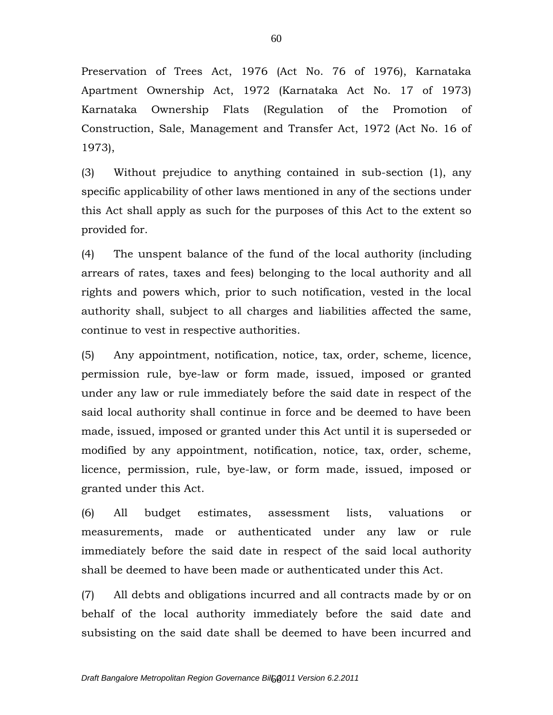Preservation of Trees Act, 1976 (Act No. 76 of 1976), Karnataka Apartment Ownership Act, 1972 (Karnataka Act No. 17 of 1973) Karnataka Ownership Flats (Regulation of the Promotion of Construction, Sale, Management and Transfer Act, 1972 (Act No. 16 of 1973),

(3) Without prejudice to anything contained in sub-section (1), any specific applicability of other laws mentioned in any of the sections under this Act shall apply as such for the purposes of this Act to the extent so provided for.

(4) The unspent balance of the fund of the local authority (including arrears of rates, taxes and fees) belonging to the local authority and all rights and powers which, prior to such notification, vested in the local authority shall, subject to all charges and liabilities affected the same, continue to vest in respective authorities.

(5) Any appointment, notification, notice, tax, order, scheme, licence, permission rule, bye-law or form made, issued, imposed or granted under any law or rule immediately before the said date in respect of the said local authority shall continue in force and be deemed to have been made, issued, imposed or granted under this Act until it is superseded or modified by any appointment, notification, notice, tax, order, scheme, licence, permission, rule, bye-law, or form made, issued, imposed or granted under this Act.

(6) All budget estimates, assessment lists, valuations or measurements, made or authenticated under any law or rule immediately before the said date in respect of the said local authority shall be deemed to have been made or authenticated under this Act.

(7) All debts and obligations incurred and all contracts made by or on behalf of the local authority immediately before the said date and subsisting on the said date shall be deemed to have been incurred and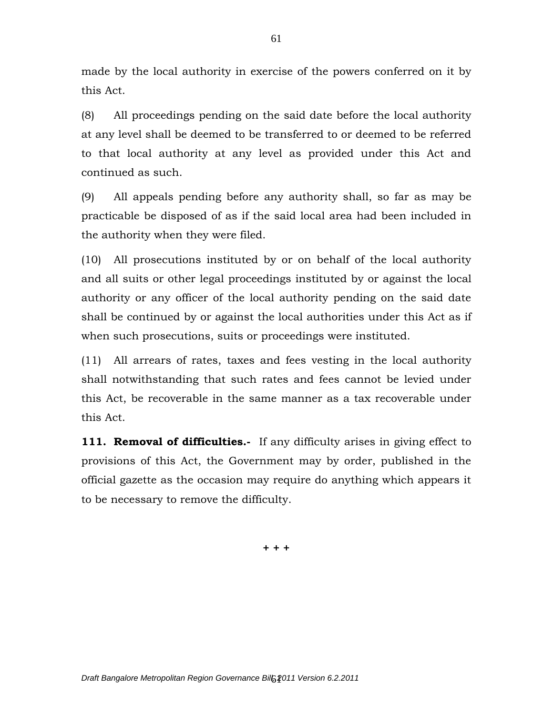made by the local authority in exercise of the powers conferred on it by this Act.

(8) All proceedings pending on the said date before the local authority at any level shall be deemed to be transferred to or deemed to be referred to that local authority at any level as provided under this Act and continued as such.

(9) All appeals pending before any authority shall, so far as may be practicable be disposed of as if the said local area had been included in the authority when they were filed.

(10) All prosecutions instituted by or on behalf of the local authority and all suits or other legal proceedings instituted by or against the local authority or any officer of the local authority pending on the said date shall be continued by or against the local authorities under this Act as if when such prosecutions, suits or proceedings were instituted.

(11) All arrears of rates, taxes and fees vesting in the local authority shall notwithstanding that such rates and fees cannot be levied under this Act, be recoverable in the same manner as a tax recoverable under this Act.

**111. Removal of difficulties.-** If any difficulty arises in giving effect to provisions of this Act, the Government may by order, published in the official gazette as the occasion may require do anything which appears it to be necessary to remove the difficulty.

**+ + +**